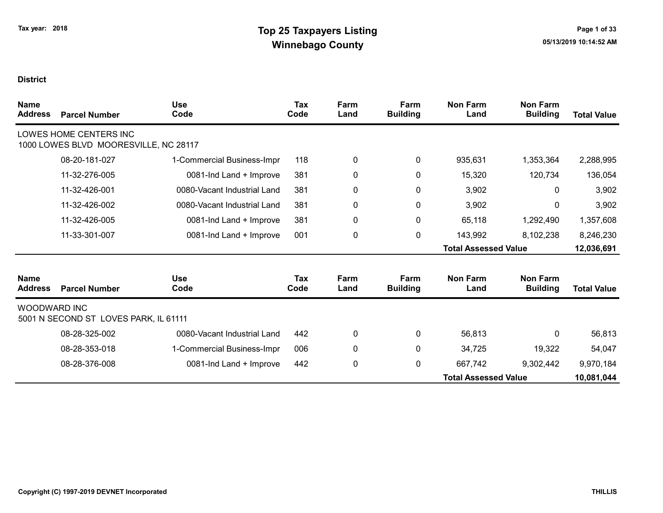| <b>Name</b><br><b>Address</b> | <b>Parcel Number</b>                                            | <b>Use</b><br>Code          | Tax<br>Code        | Farm<br>Land | Farm<br><b>Building</b> | <b>Non Farm</b><br>Land     | <b>Non Farm</b><br><b>Building</b> | <b>Total Value</b> |
|-------------------------------|-----------------------------------------------------------------|-----------------------------|--------------------|--------------|-------------------------|-----------------------------|------------------------------------|--------------------|
|                               | LOWES HOME CENTERS INC<br>1000 LOWES BLVD MOORESVILLE, NC 28117 |                             |                    |              |                         |                             |                                    |                    |
|                               | 08-20-181-027                                                   | 1-Commercial Business-Impr  | 118                | 0            | 0                       | 935,631                     | 1,353,364                          | 2,288,995          |
|                               | 11-32-276-005                                                   | 0081-Ind Land + Improve     | 381                | 0            | 0                       | 15,320                      | 120,734                            | 136,054            |
|                               | 11-32-426-001                                                   | 0080-Vacant Industrial Land | 381                | 0            | $\pmb{0}$               | 3,902                       | 0                                  | 3,902              |
|                               | 11-32-426-002                                                   | 0080-Vacant Industrial Land | 381                | 0            | 0                       | 3,902                       | 0                                  | 3,902              |
|                               | 11-32-426-005                                                   | 0081-Ind Land + Improve     | 381                | 0            | $\pmb{0}$               | 65,118                      | 1,292,490                          | 1,357,608          |
|                               | 11-33-301-007                                                   | 0081-Ind Land + Improve     | 001                | 0            | $\pmb{0}$               | 143,992                     | 8,102,238                          | 8,246,230          |
|                               |                                                                 |                             |                    |              |                         | <b>Total Assessed Value</b> |                                    | 12,036,691         |
| <b>Name</b><br><b>Address</b> | <b>Parcel Number</b>                                            | <b>Use</b><br>Code          | <b>Tax</b><br>Code | Farm<br>Land | Farm<br><b>Building</b> | <b>Non Farm</b><br>Land     | <b>Non Farm</b><br><b>Building</b> | <b>Total Value</b> |
| <b>WOODWARD INC</b>           | 5001 N SECOND ST LOVES PARK, IL 61111                           |                             |                    |              |                         |                             |                                    |                    |
|                               | 08-28-325-002                                                   | 0080-Vacant Industrial Land | 442                | 0            | 0                       | 56,813                      | 0                                  | 56,813             |
|                               | 08-28-353-018                                                   | 1-Commercial Business-Impr  | 006                | 0            | 0                       | 34,725                      | 19,322                             | 54,047             |
|                               | 08-28-376-008                                                   | 0081-Ind Land + Improve     | 442                | 0            | $\pmb{0}$               | 667,742                     | 9,302,442                          | 9,970,184          |
|                               |                                                                 |                             |                    |              |                         | <b>Total Assessed Value</b> |                                    | 10,081,044         |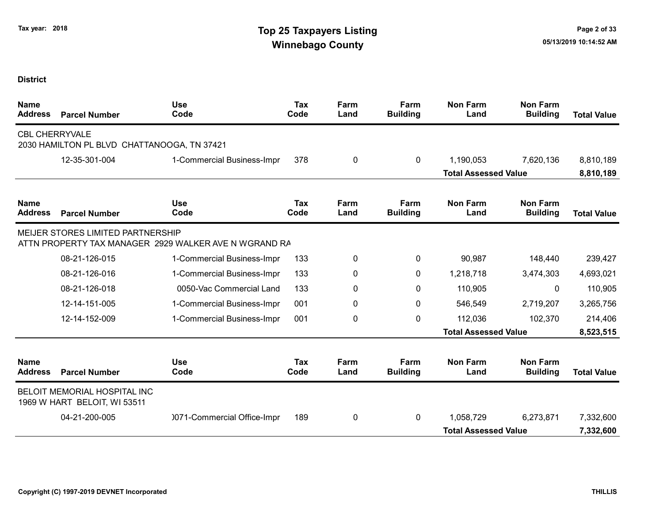| <b>Name</b><br><b>Address</b> | <b>Parcel Number</b>                                         | <b>Use</b><br>Code                                    | <b>Tax</b><br>Code | Farm<br>Land | Farm<br><b>Building</b> | <b>Non Farm</b><br>Land     | <b>Non Farm</b><br><b>Building</b> | <b>Total Value</b> |
|-------------------------------|--------------------------------------------------------------|-------------------------------------------------------|--------------------|--------------|-------------------------|-----------------------------|------------------------------------|--------------------|
| <b>CBL CHERRYVALE</b>         | 2030 HAMILTON PL BLVD CHATTANOOGA, TN 37421                  |                                                       |                    |              |                         |                             |                                    |                    |
|                               | 12-35-301-004                                                | 1-Commercial Business-Impr                            | 378                | 0            | $\mathbf{0}$            | 1,190,053                   | 7,620,136                          | 8,810,189          |
|                               |                                                              |                                                       |                    |              |                         | <b>Total Assessed Value</b> |                                    | 8,810,189          |
| <b>Name</b><br><b>Address</b> | <b>Parcel Number</b>                                         | <b>Use</b><br>Code                                    | <b>Tax</b><br>Code | Farm<br>Land | Farm<br><b>Building</b> | <b>Non Farm</b><br>Land     | <b>Non Farm</b><br><b>Building</b> | <b>Total Value</b> |
|                               | MEIJER STORES LIMITED PARTNERSHIP                            | ATTN PROPERTY TAX MANAGER 2929 WALKER AVE N WGRAND RA |                    |              |                         |                             |                                    |                    |
|                               | 08-21-126-015                                                | 1-Commercial Business-Impr                            | 133                | 0            | $\mathbf{0}$            | 90,987                      | 148,440                            | 239,427            |
|                               | 08-21-126-016                                                | 1-Commercial Business-Impr                            | 133                | 0            | 0                       | 1,218,718                   | 3,474,303                          | 4,693,021          |
|                               | 08-21-126-018                                                | 0050-Vac Commercial Land                              | 133                | 0            | 0                       | 110,905                     | 0                                  | 110,905            |
|                               | 12-14-151-005                                                | 1-Commercial Business-Impr                            | 001                | 0            | $\mathbf{0}$            | 546,549                     | 2,719,207                          | 3,265,756          |
|                               | 12-14-152-009                                                | 1-Commercial Business-Impr                            | 001                | 0            | $\mathbf{0}$            | 112,036                     | 102,370                            | 214,406            |
|                               |                                                              |                                                       |                    |              |                         | <b>Total Assessed Value</b> |                                    | 8,523,515          |
| <b>Name</b><br><b>Address</b> | <b>Parcel Number</b>                                         | <b>Use</b><br>Code                                    | Tax<br>Code        | Farm<br>Land | Farm<br><b>Building</b> | <b>Non Farm</b><br>Land     | <b>Non Farm</b><br><b>Building</b> | <b>Total Value</b> |
|                               | BELOIT MEMORIAL HOSPITAL INC<br>1969 W HART BELOIT, WI 53511 |                                                       |                    |              |                         |                             |                                    |                    |
|                               | 04-21-200-005                                                | 0071-Commercial Office-Impr                           | 189                | 0            | $\mathbf{0}$            | 1,058,729                   | 6,273,871                          | 7,332,600          |
|                               |                                                              |                                                       |                    |              |                         | <b>Total Assessed Value</b> |                                    | 7,332,600          |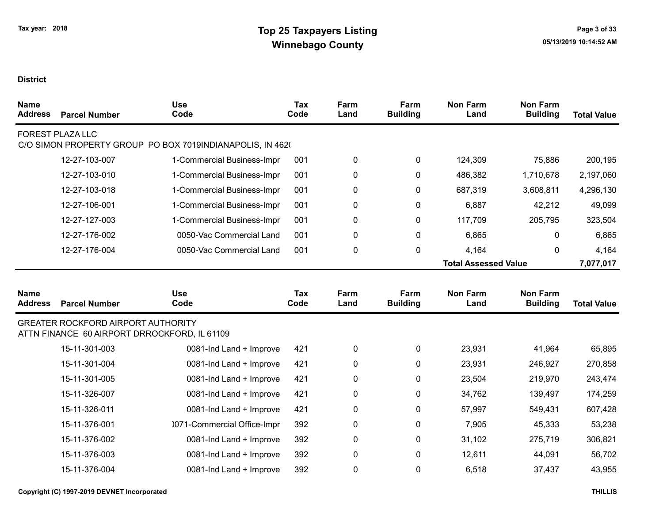| <b>Name</b><br><b>Address</b> | <b>Parcel Number</b>                                                                      | <b>Use</b><br>Code                                        | Tax<br>Code | Farm<br>Land | Farm<br><b>Building</b> | <b>Non Farm</b><br>Land     | <b>Non Farm</b><br><b>Building</b> | <b>Total Value</b> |
|-------------------------------|-------------------------------------------------------------------------------------------|-----------------------------------------------------------|-------------|--------------|-------------------------|-----------------------------|------------------------------------|--------------------|
|                               | <b>FOREST PLAZA LLC</b>                                                                   | C/O SIMON PROPERTY GROUP PO BOX 7019INDIANAPOLIS, IN 4620 |             |              |                         |                             |                                    |                    |
|                               | 12-27-103-007                                                                             | 1-Commercial Business-Impr                                | 001         | $\pmb{0}$    | 0                       | 124,309                     | 75,886                             | 200,195            |
|                               | 12-27-103-010                                                                             | 1-Commercial Business-Impr                                | 001         | $\pmb{0}$    | 0                       | 486,382                     | 1,710,678                          | 2,197,060          |
|                               | 12-27-103-018                                                                             | 1-Commercial Business-Impr                                | 001         | $\pmb{0}$    | 0                       | 687,319                     | 3,608,811                          | 4,296,130          |
|                               | 12-27-106-001                                                                             | 1-Commercial Business-Impr                                | 001         | $\pmb{0}$    | 0                       | 6,887                       | 42,212                             | 49,099             |
|                               | 12-27-127-003                                                                             | 1-Commercial Business-Impr                                | 001         | $\pmb{0}$    | 0                       | 117,709                     | 205,795                            | 323,504            |
|                               | 12-27-176-002                                                                             | 0050-Vac Commercial Land                                  | 001         | 0            | $\mathbf 0$             | 6,865                       | 0                                  | 6,865              |
|                               | 12-27-176-004                                                                             | 0050-Vac Commercial Land                                  | 001         | $\pmb{0}$    | 0                       | 4,164                       | 0                                  | 4,164              |
|                               |                                                                                           |                                                           |             |              |                         | <b>Total Assessed Value</b> |                                    | 7,077,017          |
| <b>Name</b><br><b>Address</b> | <b>Parcel Number</b>                                                                      | <b>Use</b><br>Code                                        | Tax<br>Code | Farm<br>Land | Farm<br><b>Building</b> | <b>Non Farm</b><br>Land     | <b>Non Farm</b><br><b>Building</b> | <b>Total Value</b> |
|                               | <b>GREATER ROCKFORD AIRPORT AUTHORITY</b><br>ATTN FINANCE 60 AIRPORT DRROCKFORD, IL 61109 |                                                           |             |              |                         |                             |                                    |                    |
|                               | 15-11-301-003                                                                             | 0081-Ind Land + Improve                                   | 421         | $\pmb{0}$    | $\mathbf 0$             | 23,931                      | 41,964                             | 65,895             |
|                               | 15-11-301-004                                                                             | 0081-Ind Land + Improve                                   | 421         | 0            | 0                       | 23,931                      | 246,927                            | 270,858            |
|                               | 15-11-301-005                                                                             | 0081-Ind Land + Improve                                   | 421         | 0            | $\mathbf 0$             | 23,504                      | 219,970                            | 243,474            |
|                               | 15-11-326-007                                                                             | 0081-Ind Land + Improve                                   | 421         | 0            | $\mathbf 0$             | 34,762                      | 139,497                            | 174,259            |
|                               | 15-11-326-011                                                                             | 0081-Ind Land + Improve                                   | 421         | 0            | $\mathbf 0$             | 57,997                      | 549,431                            | 607,428            |
|                               | 15-11-376-001                                                                             | 0071-Commercial Office-Impr                               | 392         | $\pmb{0}$    | 0                       | 7,905                       | 45,333                             | 53,238             |
|                               | 15-11-376-002                                                                             | 0081-Ind Land + Improve                                   | 392         | $\pmb{0}$    | $\mathbf 0$             | 31,102                      | 275,719                            | 306,821            |
|                               | 15-11-376-003                                                                             | 0081-Ind Land + Improve                                   | 392         | $\mathbf 0$  | 0                       | 12,611                      | 44,091                             | 56,702             |
|                               | 15-11-376-004                                                                             | 0081-Ind Land + Improve                                   | 392         | $\mathbf 0$  | $\Omega$                | 6,518                       | 37,437                             | 43,955             |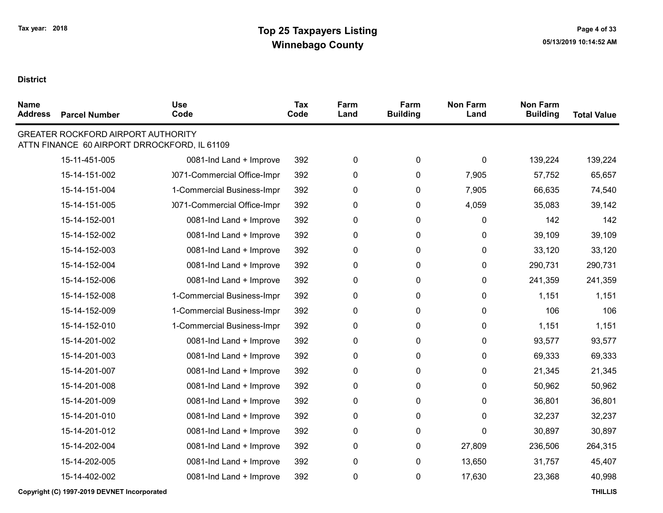$\blacksquare$ 

| <b>Name</b><br><b>Address</b> | <b>Parcel Number</b>                      | <b>Use</b><br>Code                           | <b>Tax</b><br>Code | Farm<br>Land | Farm<br><b>Building</b> | <b>Non Farm</b><br>Land | <b>Non Farm</b><br><b>Building</b> | <b>Total Value</b> |
|-------------------------------|-------------------------------------------|----------------------------------------------|--------------------|--------------|-------------------------|-------------------------|------------------------------------|--------------------|
|                               | <b>GREATER ROCKFORD AIRPORT AUTHORITY</b> | ATTN FINANCE 60 AIRPORT DRROCKFORD, IL 61109 |                    |              |                         |                         |                                    |                    |
|                               | 15-11-451-005                             | 0081-Ind Land + Improve                      | 392                | 0            | $\pmb{0}$               | 0                       | 139,224                            | 139,224            |
|                               | 15-14-151-002                             | 0071-Commercial Office-Impr                  | 392                | 0            | $\pmb{0}$               | 7,905                   | 57,752                             | 65,657             |
|                               | 15-14-151-004                             | 1-Commercial Business-Impr                   | 392                | 0            | 0                       | 7,905                   | 66,635                             | 74,540             |
|                               | 15-14-151-005                             | 0071-Commercial Office-Impr                  | 392                | 0            | 0                       | 4,059                   | 35,083                             | 39,142             |
|                               | 15-14-152-001                             | 0081-Ind Land + Improve                      | 392                | 0            | 0                       | 0                       | 142                                | 142                |
|                               | 15-14-152-002                             | 0081-Ind Land + Improve                      | 392                | 0            | 0                       | 0                       | 39,109                             | 39,109             |
|                               | 15-14-152-003                             | 0081-Ind Land + Improve                      | 392                | 0            | 0                       | 0                       | 33,120                             | 33,120             |
|                               | 15-14-152-004                             | 0081-Ind Land + Improve                      | 392                | 0            | $\pmb{0}$               | 0                       | 290,731                            | 290,731            |
|                               | 15-14-152-006                             | 0081-Ind Land + Improve                      | 392                | 0            | 0                       | 0                       | 241,359                            | 241,359            |
|                               | 15-14-152-008                             | 1-Commercial Business-Impr                   | 392                | 0            | $\pmb{0}$               | 0                       | 1,151                              | 1,151              |
|                               | 15-14-152-009                             | 1-Commercial Business-Impr                   | 392                | 0            | $\pmb{0}$               | 0                       | 106                                | 106                |
|                               | 15-14-152-010                             | 1-Commercial Business-Impr                   | 392                | 0            | 0                       | 0                       | 1,151                              | 1,151              |
|                               | 15-14-201-002                             | 0081-Ind Land + Improve                      | 392                | 0            | $\pmb{0}$               | 0                       | 93,577                             | 93,577             |
|                               | 15-14-201-003                             | 0081-Ind Land + Improve                      | 392                | 0            | $\mathbf 0$             | 0                       | 69,333                             | 69,333             |
|                               | 15-14-201-007                             | 0081-Ind Land + Improve                      | 392                | 0            | $\mathbf 0$             | 0                       | 21,345                             | 21,345             |
|                               | 15-14-201-008                             | 0081-Ind Land + Improve                      | 392                | 0            | 0                       | 0                       | 50,962                             | 50,962             |
|                               | 15-14-201-009                             | 0081-Ind Land + Improve                      | 392                | 0            | 0                       | 0                       | 36,801                             | 36,801             |
|                               | 15-14-201-010                             | 0081-Ind Land + Improve                      | 392                | 0            | 0                       | 0                       | 32,237                             | 32,237             |
|                               | 15-14-201-012                             | 0081-Ind Land + Improve                      | 392                | 0            | $\mathbf 0$             | 0                       | 30,897                             | 30,897             |
|                               | 15-14-202-004                             | 0081-Ind Land + Improve                      | 392                | 0            | 0                       | 27,809                  | 236,506                            | 264,315            |
|                               | 15-14-202-005                             | 0081-Ind Land + Improve                      | 392                | 0            | $\pmb{0}$               | 13,650                  | 31,757                             | 45,407             |
|                               | 15-14-402-002                             | 0081-Ind Land + Improve                      | 392                | 0            | $\pmb{0}$               | 17,630                  | 23,368                             | 40,998             |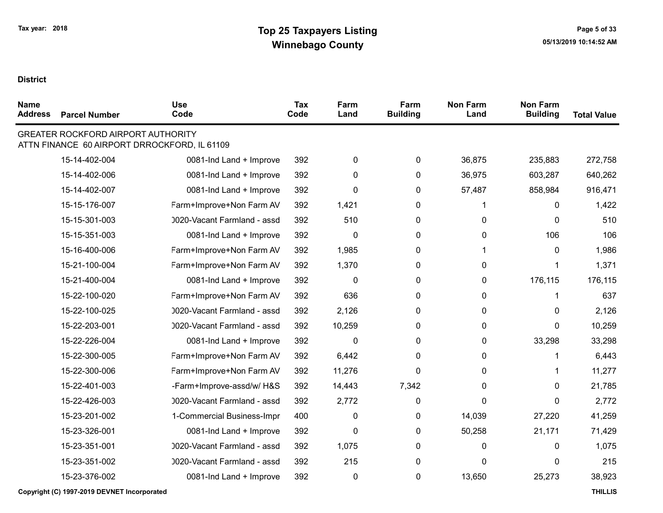| <b>Name</b><br><b>Address</b> | <b>Parcel Number</b>                      | <b>Use</b><br>Code                           | Tax<br>Code | Farm<br>Land | Farm<br><b>Building</b> | <b>Non Farm</b><br>Land | <b>Non Farm</b><br><b>Building</b> | <b>Total Value</b> |
|-------------------------------|-------------------------------------------|----------------------------------------------|-------------|--------------|-------------------------|-------------------------|------------------------------------|--------------------|
|                               | <b>GREATER ROCKFORD AIRPORT AUTHORITY</b> | ATTN FINANCE 60 AIRPORT DRROCKFORD, IL 61109 |             |              |                         |                         |                                    |                    |
|                               | 15-14-402-004                             | 0081-Ind Land + Improve                      | 392         | $\pmb{0}$    | 0                       | 36,875                  | 235,883                            | 272,758            |
|                               | 15-14-402-006                             | 0081-Ind Land + Improve                      | 392         | $\mathbf 0$  | 0                       | 36,975                  | 603,287                            | 640,262            |
|                               | 15-14-402-007                             | 0081-Ind Land + Improve                      | 392         | $\mathbf{0}$ | 0                       | 57,487                  | 858,984                            | 916,471            |
|                               | 15-15-176-007                             | Farm+Improve+Non Farm AV                     | 392         | 1,421        | 0                       | 1                       | 0                                  | 1,422              |
|                               | 15-15-301-003                             | 0020-Vacant Farmland - assd                  | 392         | 510          | 0                       | 0                       | $\Omega$                           | 510                |
|                               | 15-15-351-003                             | 0081-Ind Land + Improve                      | 392         | 0            | 0                       | 0                       | 106                                | 106                |
|                               | 15-16-400-006                             | Farm+Improve+Non Farm AV                     | 392         | 1,985        | 0                       | 1                       | 0                                  | 1,986              |
|                               | 15-21-100-004                             | Farm+Improve+Non Farm AV                     | 392         | 1,370        | 0                       | 0                       | 1                                  | 1,371              |
|                               | 15-21-400-004                             | 0081-Ind Land + Improve                      | 392         | $\mathbf{0}$ | 0                       | 0                       | 176,115                            | 176,115            |
|                               | 15-22-100-020                             | Farm+Improve+Non Farm AV                     | 392         | 636          | 0                       | 0                       | 1                                  | 637                |
|                               | 15-22-100-025                             | 0020-Vacant Farmland - assd                  | 392         | 2,126        | 0                       | 0                       | 0                                  | 2,126              |
|                               | 15-22-203-001                             | 0020-Vacant Farmland - assd                  | 392         | 10,259       | 0                       | 0                       | 0                                  | 10,259             |
|                               | 15-22-226-004                             | 0081-Ind Land + Improve                      | 392         | $\mathbf 0$  | 0                       | 0                       | 33,298                             | 33,298             |
|                               | 15-22-300-005                             | Farm+Improve+Non Farm AV                     | 392         | 6,442        | 0                       | 0                       | 1                                  | 6,443              |
|                               | 15-22-300-006                             | Farm+Improve+Non Farm AV                     | 392         | 11,276       | $\mathbf{0}$            | 0                       | 1                                  | 11,277             |
|                               | 15-22-401-003                             | -Farm+Improve-assd/w/ H&S                    | 392         | 14,443       | 7,342                   | 0                       | 0                                  | 21,785             |
|                               | 15-22-426-003                             | 0020-Vacant Farmland - assd                  | 392         | 2,772        | 0                       | 0                       | $\Omega$                           | 2,772              |
|                               | 15-23-201-002                             | 1-Commercial Business-Impr                   | 400         | 0            | 0                       | 14,039                  | 27,220                             | 41,259             |
|                               | 15-23-326-001                             | 0081-Ind Land + Improve                      | 392         | $\mathbf 0$  | 0                       | 50,258                  | 21,171                             | 71,429             |
|                               | 15-23-351-001                             | 0020-Vacant Farmland - assd                  | 392         | 1,075        | 0                       | 0                       | 0                                  | 1,075              |
|                               | 15-23-351-002                             | 0020-Vacant Farmland - assd                  | 392         | 215          | 0                       | 0                       | 0                                  | 215                |
|                               | 15-23-376-002                             | 0081-Ind Land + Improve                      | 392         | $\pmb{0}$    | 0                       | 13,650                  | 25,273                             | 38,923             |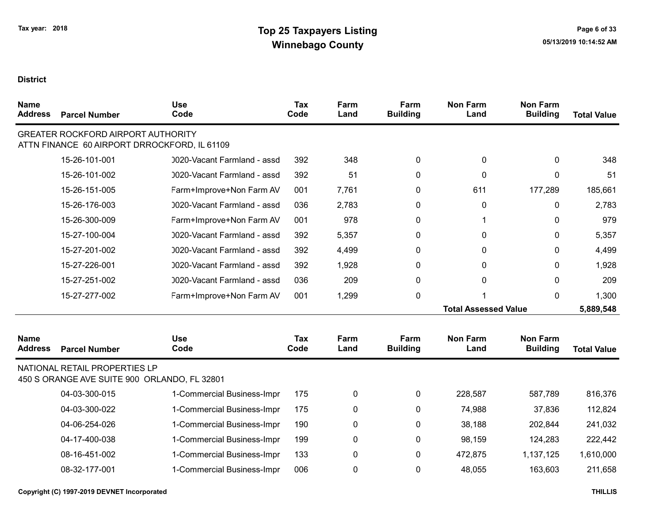| <b>Name</b><br><b>Address</b> | <b>Parcel Number</b>                                                                      | <b>Use</b><br>Code          | Tax<br>Code | Farm<br>Land | Farm<br><b>Building</b> | <b>Non Farm</b><br>Land     | <b>Non Farm</b><br><b>Building</b> | <b>Total Value</b> |
|-------------------------------|-------------------------------------------------------------------------------------------|-----------------------------|-------------|--------------|-------------------------|-----------------------------|------------------------------------|--------------------|
|                               | <b>GREATER ROCKFORD AIRPORT AUTHORITY</b><br>ATTN FINANCE 60 AIRPORT DRROCKFORD, IL 61109 |                             |             |              |                         |                             |                                    |                    |
|                               | 15-26-101-001                                                                             | 0020-Vacant Farmland - assd | 392         | 348          | 0                       | 0                           | 0                                  | 348                |
|                               | 15-26-101-002                                                                             | 0020-Vacant Farmland - assd | 392         | 51           | 0                       | 0                           | $\Omega$                           | 51                 |
|                               | 15-26-151-005                                                                             | Farm+Improve+Non Farm AV    | 001         | 7,761        | 0                       | 611                         | 177,289                            | 185,661            |
|                               | 15-26-176-003                                                                             | 0020-Vacant Farmland - assd | 036         | 2,783        | $\mathbf{0}$            | 0                           | 0                                  | 2,783              |
|                               | 15-26-300-009                                                                             | Farm+Improve+Non Farm AV    | 001         | 978          | $\mathbf{0}$            | 1                           | 0                                  | 979                |
|                               | 15-27-100-004                                                                             | 0020-Vacant Farmland - assd | 392         | 5,357        | 0                       | 0                           | $\Omega$                           | 5,357              |
|                               | 15-27-201-002                                                                             | 0020-Vacant Farmland - assd | 392         | 4,499        | $\mathbf{0}$            | 0                           | 0                                  | 4,499              |
|                               | 15-27-226-001                                                                             | 0020-Vacant Farmland - assd | 392         | 1,928        | 0                       | 0                           | $\Omega$                           | 1,928              |
|                               | 15-27-251-002                                                                             | 0020-Vacant Farmland - assd | 036         | 209          | 0                       | 0                           | $\Omega$                           | 209                |
|                               | 15-27-277-002                                                                             | Farm+Improve+Non Farm AV    | 001         | 1,299        | 0                       |                             | 0                                  | 1,300              |
|                               |                                                                                           |                             |             |              |                         | <b>Total Assessed Value</b> |                                    | 5,889,548          |
| <b>Name</b><br><b>Address</b> | <b>Parcel Number</b>                                                                      | <b>Use</b><br>Code          | Tax<br>Code | Farm<br>Land | Farm<br><b>Building</b> | <b>Non Farm</b><br>Land     | <b>Non Farm</b><br><b>Building</b> | <b>Total Value</b> |
|                               | NATIONAL RETAIL PROPERTIES LP<br>450 S ORANGE AVE SUITE 900 ORLANDO, FL 32801             |                             |             |              |                         |                             |                                    |                    |
|                               | 04-03-300-015                                                                             | 1-Commercial Business-Impr  | 175         | 0            | 0                       | 228,587                     | 587,789                            | 816,376            |
|                               | 04-03-300-022                                                                             | 1-Commercial Business-Impr  | 175         | 0            | 0                       | 74,988                      | 37,836                             | 112,824            |
|                               | 04-06-254-026                                                                             | 1-Commercial Business-Impr  | 190         | 0            | 0                       | 38,188                      | 202,844                            | 241,032            |
|                               | 04-17-400-038                                                                             | 1-Commercial Business-Impr  | 199         | 0            | 0                       | 98,159                      | 124,283                            | 222,442            |
|                               | 08-16-451-002                                                                             | 1-Commercial Business-Impr  | 133         | 0            | 0                       | 472,875                     | 1,137,125                          | 1,610,000          |
|                               | 08-32-177-001                                                                             | 1-Commercial Business-Impr  | 006         | 0            | 0                       | 48,055                      | 163,603                            | 211,658            |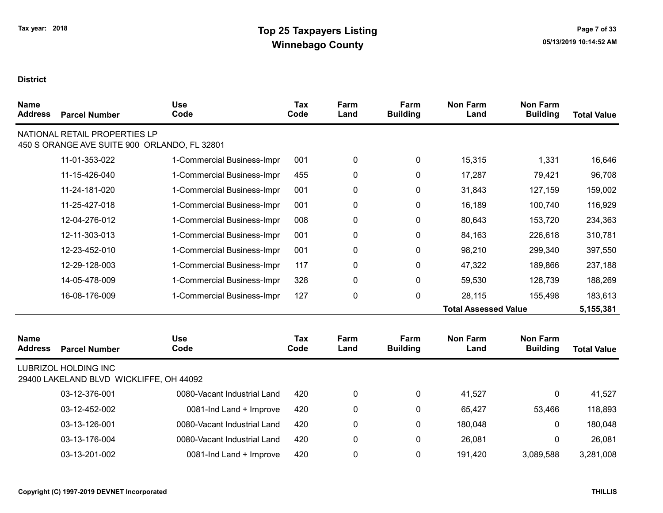| <b>Name</b><br><b>Address</b> | <b>Parcel Number</b>                                                          | <b>Use</b><br>Code          | <b>Tax</b><br>Code | Farm<br>Land | Farm<br><b>Building</b> | <b>Non Farm</b><br>Land     | <b>Non Farm</b><br><b>Building</b> | <b>Total Value</b> |
|-------------------------------|-------------------------------------------------------------------------------|-----------------------------|--------------------|--------------|-------------------------|-----------------------------|------------------------------------|--------------------|
|                               | NATIONAL RETAIL PROPERTIES LP<br>450 S ORANGE AVE SUITE 900 ORLANDO, FL 32801 |                             |                    |              |                         |                             |                                    |                    |
|                               |                                                                               |                             |                    |              |                         |                             |                                    |                    |
|                               | 11-01-353-022                                                                 | 1-Commercial Business-Impr  | 001                | 0            | 0                       | 15,315                      | 1,331                              | 16,646             |
|                               | 11-15-426-040                                                                 | 1-Commercial Business-Impr  | 455                | 0            | 0                       | 17,287                      | 79,421                             | 96,708             |
|                               | 11-24-181-020                                                                 | 1-Commercial Business-Impr  | 001                | 0            | 0                       | 31,843                      | 127,159                            | 159,002            |
|                               | 11-25-427-018                                                                 | 1-Commercial Business-Impr  | 001                | 0            | 0                       | 16,189                      | 100,740                            | 116,929            |
|                               | 12-04-276-012                                                                 | 1-Commercial Business-Impr  | 008                | 0            | 0                       | 80,643                      | 153,720                            | 234,363            |
|                               | 12-11-303-013                                                                 | 1-Commercial Business-Impr  | 001                | 0            | 0                       | 84,163                      | 226,618                            | 310,781            |
|                               | 12-23-452-010                                                                 | 1-Commercial Business-Impr  | 001                | 0            | 0                       | 98,210                      | 299,340                            | 397,550            |
|                               | 12-29-128-003                                                                 | 1-Commercial Business-Impr  | 117                | 0            | 0                       | 47,322                      | 189,866                            | 237,188            |
|                               | 14-05-478-009                                                                 | 1-Commercial Business-Impr  | 328                | 0            | 0                       | 59,530                      | 128,739                            | 188,269            |
|                               | 16-08-176-009                                                                 | 1-Commercial Business-Impr  | 127                | 0            | 0                       | 28,115                      | 155,498                            | 183,613            |
|                               |                                                                               |                             |                    |              |                         | <b>Total Assessed Value</b> |                                    | 5,155,381          |
| <b>Name</b><br><b>Address</b> | <b>Parcel Number</b>                                                          | <b>Use</b><br>Code          | Tax<br>Code        | Farm<br>Land | Farm<br><b>Building</b> | <b>Non Farm</b><br>Land     | <b>Non Farm</b><br><b>Building</b> | <b>Total Value</b> |
|                               | <b>LUBRIZOL HOLDING INC</b><br>29400 LAKELAND BLVD WICKLIFFE, OH 44092        |                             |                    |              |                         |                             |                                    |                    |
|                               | 03-12-376-001                                                                 | 0080-Vacant Industrial Land | 420                | 0            | 0                       | 41,527                      | 0                                  | 41,527             |
|                               | 03-12-452-002                                                                 | 0081-Ind Land + Improve     | 420                | 0            | 0                       | 65,427                      | 53,466                             | 118,893            |
|                               | 03-13-126-001                                                                 | 0080-Vacant Industrial Land | 420                | 0            | 0                       | 180,048                     | 0                                  | 180,048            |
|                               | 03-13-176-004                                                                 | 0080-Vacant Industrial Land | 420                | 0            | 0                       | 26,081                      | 0                                  | 26,081             |
|                               | 03-13-201-002                                                                 | 0081-Ind Land + Improve     | 420                | 0            | 0                       | 191,420                     | 3,089,588                          | 3,281,008          |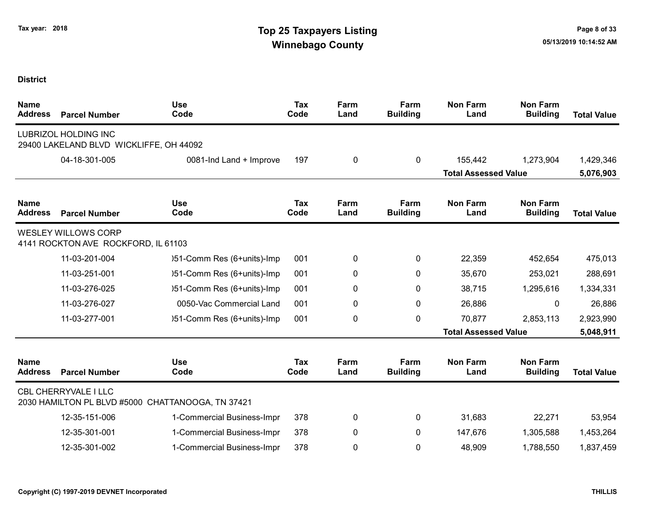| <b>Name</b><br><b>Address</b> | <b>Parcel Number</b>                                                   | <b>Use</b><br>Code                                | <b>Tax</b><br>Code | Farm<br>Land | Farm<br><b>Building</b> | <b>Non Farm</b><br>Land     | <b>Non Farm</b><br><b>Building</b> | <b>Total Value</b> |
|-------------------------------|------------------------------------------------------------------------|---------------------------------------------------|--------------------|--------------|-------------------------|-----------------------------|------------------------------------|--------------------|
|                               | <b>LUBRIZOL HOLDING INC</b><br>29400 LAKELAND BLVD WICKLIFFE, OH 44092 |                                                   |                    |              |                         |                             |                                    |                    |
|                               | 04-18-301-005                                                          | 0081-Ind Land + Improve                           | 197                | $\pmb{0}$    | 0                       | 155,442                     | 1,273,904                          | 1,429,346          |
|                               |                                                                        |                                                   |                    |              |                         | <b>Total Assessed Value</b> |                                    | 5,076,903          |
| <b>Name</b><br><b>Address</b> | <b>Parcel Number</b>                                                   | <b>Use</b><br>Code                                | Tax<br>Code        | Farm<br>Land | Farm<br><b>Building</b> | <b>Non Farm</b><br>Land     | Non Farm<br><b>Building</b>        | <b>Total Value</b> |
|                               | <b>WESLEY WILLOWS CORP</b><br>4141 ROCKTON AVE ROCKFORD, IL 61103      |                                                   |                    |              |                         |                             |                                    |                    |
|                               | 11-03-201-004                                                          | )51-Comm Res (6+units)-Imp                        | 001                | 0            | 0                       | 22,359                      | 452,654                            | 475,013            |
|                               | 11-03-251-001                                                          | )51-Comm Res (6+units)-Imp                        | 001                | 0            | 0                       | 35,670                      | 253,021                            | 288,691            |
|                               | 11-03-276-025                                                          | )51-Comm Res (6+units)-Imp                        | 001                | 0            | 0                       | 38,715                      | 1,295,616                          | 1,334,331          |
|                               | 11-03-276-027                                                          | 0050-Vac Commercial Land                          | 001                | 0            | 0                       | 26,886                      | 0                                  | 26,886             |
|                               | 11-03-277-001                                                          | )51-Comm Res (6+units)-Imp                        | 001                | 0            | 0                       | 70,877                      | 2,853,113                          | 2,923,990          |
|                               |                                                                        |                                                   |                    |              |                         | <b>Total Assessed Value</b> |                                    | 5,048,911          |
| <b>Name</b><br><b>Address</b> | <b>Parcel Number</b>                                                   | <b>Use</b><br>Code                                | <b>Tax</b><br>Code | Farm<br>Land | Farm<br><b>Building</b> | <b>Non Farm</b><br>Land     | <b>Non Farm</b><br><b>Building</b> | <b>Total Value</b> |
|                               | CBL CHERRYVALE I LLC                                                   | 2030 HAMILTON PL BLVD #5000 CHATTANOOGA, TN 37421 |                    |              |                         |                             |                                    |                    |
|                               | 12-35-151-006                                                          | 1-Commercial Business-Impr                        | 378                | 0            | 0                       | 31,683                      | 22,271                             | 53,954             |
|                               | 12-35-301-001                                                          | 1-Commercial Business-Impr                        | 378                | 0            | $\mathbf{0}$            | 147,676                     | 1,305,588                          | 1,453,264          |
|                               | 12-35-301-002                                                          | 1-Commercial Business-Impr                        | 378                | 0            | 0                       | 48,909                      | 1,788,550                          | 1,837,459          |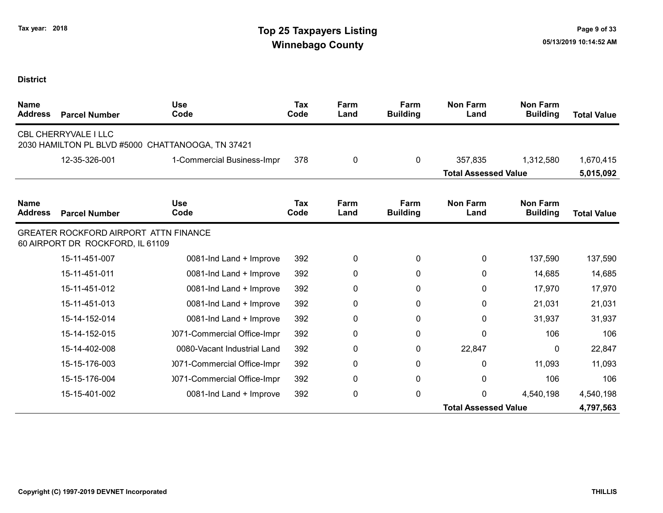| <b>Name</b><br><b>Address</b> | <b>Parcel Number</b>                                                      | <b>Use</b><br>Code                                | <b>Tax</b><br>Code | Farm<br>Land | Farm<br><b>Building</b> | <b>Non Farm</b><br>Land     | <b>Non Farm</b><br><b>Building</b> | <b>Total Value</b> |
|-------------------------------|---------------------------------------------------------------------------|---------------------------------------------------|--------------------|--------------|-------------------------|-----------------------------|------------------------------------|--------------------|
|                               | <b>CBL CHERRYVALE I LLC</b>                                               | 2030 HAMILTON PL BLVD #5000 CHATTANOOGA, TN 37421 |                    |              |                         |                             |                                    |                    |
|                               | 12-35-326-001                                                             | 1-Commercial Business-Impr                        | 378                | 0            | $\mathbf{0}$            | 357,835                     | 1,312,580                          | 1,670,415          |
|                               |                                                                           |                                                   |                    |              |                         | <b>Total Assessed Value</b> |                                    | 5,015,092          |
| <b>Name</b><br><b>Address</b> | <b>Parcel Number</b>                                                      | <b>Use</b><br>Code                                | <b>Tax</b><br>Code | Farm<br>Land | Farm<br><b>Building</b> | <b>Non Farm</b><br>Land     | <b>Non Farm</b><br><b>Building</b> | <b>Total Value</b> |
|                               | GREATER ROCKFORD AIRPORT ATTN FINANCE<br>60 AIRPORT DR ROCKFORD, IL 61109 |                                                   |                    |              |                         |                             |                                    |                    |
|                               | 15-11-451-007                                                             | 0081-Ind Land + Improve                           | 392                | 0            | 0                       | 0                           | 137,590                            | 137,590            |
|                               | 15-11-451-011                                                             | 0081-Ind Land + Improve                           | 392                | 0            | 0                       | 0                           | 14,685                             | 14,685             |
|                               | 15-11-451-012                                                             | 0081-Ind Land + Improve                           | 392                | 0            | $\mathbf{0}$            | 0                           | 17,970                             | 17,970             |
|                               | 15-11-451-013                                                             | 0081-Ind Land + Improve                           | 392                | 0            | 0                       | 0                           | 21,031                             | 21,031             |
|                               | 15-14-152-014                                                             | 0081-Ind Land + Improve                           | 392                | 0            | 0                       | 0                           | 31,937                             | 31,937             |
|                               | 15-14-152-015                                                             | 0071-Commercial Office-Impr                       | 392                | 0            | 0                       | 0                           | 106                                | 106                |
|                               | 15-14-402-008                                                             | 0080-Vacant Industrial Land                       | 392                | 0            | 0                       | 22,847                      | 0                                  | 22,847             |
|                               | 15-15-176-003                                                             | 0071-Commercial Office-Impr                       | 392                | 0            | 0                       | $\mathbf{0}$                | 11,093                             | 11,093             |
|                               | 15-15-176-004                                                             | 0071-Commercial Office-Impr                       | 392                | 0            | 0                       | 0                           | 106                                | 106                |
|                               | 15-15-401-002                                                             | 0081-Ind Land + Improve                           | 392                | 0            | $\mathbf{0}$            | $\mathbf{0}$                | 4,540,198                          | 4,540,198          |
|                               |                                                                           |                                                   |                    |              |                         | <b>Total Assessed Value</b> |                                    | 4,797,563          |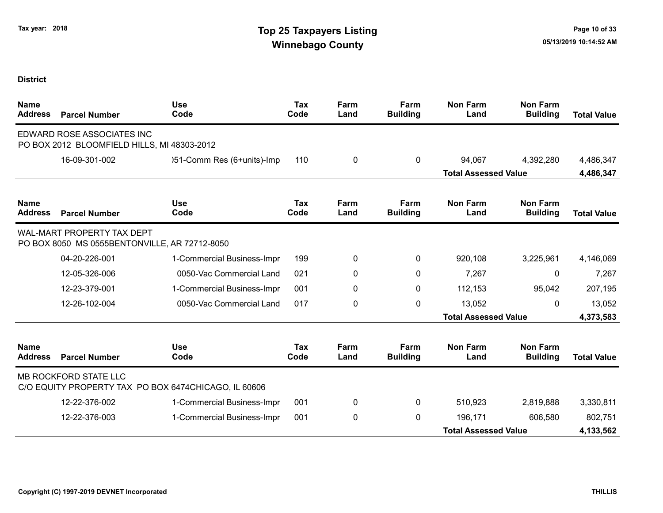| <b>Name</b><br><b>Address</b> | <b>Parcel Number</b>                                                               | <b>Use</b><br>Code                                   | <b>Tax</b><br>Code | Farm<br>Land | Farm<br><b>Building</b> | <b>Non Farm</b><br>Land     | <b>Non Farm</b><br><b>Building</b> | <b>Total Value</b> |
|-------------------------------|------------------------------------------------------------------------------------|------------------------------------------------------|--------------------|--------------|-------------------------|-----------------------------|------------------------------------|--------------------|
|                               | EDWARD ROSE ASSOCIATES INC<br>PO BOX 2012 BLOOMFIELD HILLS, MI 48303-2012          |                                                      |                    |              |                         |                             |                                    |                    |
|                               | 16-09-301-002                                                                      | )51-Comm Res (6+units)-Imp                           | 110                | 0            | 0                       | 94,067                      | 4,392,280                          | 4,486,347          |
|                               |                                                                                    |                                                      |                    |              |                         | <b>Total Assessed Value</b> |                                    | 4,486,347          |
| <b>Name</b><br><b>Address</b> | <b>Parcel Number</b>                                                               | <b>Use</b><br>Code                                   | Tax<br>Code        | Farm<br>Land | Farm<br><b>Building</b> | <b>Non Farm</b><br>Land     | <b>Non Farm</b><br><b>Building</b> | <b>Total Value</b> |
|                               | <b>WAL-MART PROPERTY TAX DEPT</b><br>PO BOX 8050 MS 0555BENTONVILLE, AR 72712-8050 |                                                      |                    |              |                         |                             |                                    |                    |
|                               | 04-20-226-001                                                                      | 1-Commercial Business-Impr                           | 199                | 0            | $\mathbf{0}$            | 920,108                     | 3,225,961                          | 4,146,069          |
|                               | 12-05-326-006                                                                      | 0050-Vac Commercial Land                             | 021                | 0            | $\mathbf{0}$            | 7,267                       | 0                                  | 7,267              |
|                               | 12-23-379-001                                                                      | 1-Commercial Business-Impr                           | 001                | 0            | $\pmb{0}$               | 112,153                     | 95,042                             | 207,195            |
|                               | 12-26-102-004                                                                      | 0050-Vac Commercial Land                             | 017                | 0            | $\mathbf{0}$            | 13,052                      | $\Omega$                           | 13,052             |
|                               |                                                                                    |                                                      |                    |              |                         | <b>Total Assessed Value</b> |                                    | 4,373,583          |
| <b>Name</b><br><b>Address</b> | <b>Parcel Number</b>                                                               | <b>Use</b><br>Code                                   | <b>Tax</b><br>Code | Farm<br>Land | Farm<br><b>Building</b> | <b>Non Farm</b><br>Land     | <b>Non Farm</b><br><b>Building</b> | <b>Total Value</b> |
|                               | MB ROCKFORD STATE LLC                                                              | C/O EQUITY PROPERTY TAX PO BOX 6474CHICAGO, IL 60606 |                    |              |                         |                             |                                    |                    |
|                               | 12-22-376-002                                                                      | 1-Commercial Business-Impr                           | 001                | 0            | $\mathbf{0}$            | 510,923                     | 2,819,888                          | 3,330,811          |
|                               | 12-22-376-003                                                                      | 1-Commercial Business-Impr                           | 001                | 0            | 0                       | 196,171                     | 606,580                            | 802,751            |
|                               |                                                                                    |                                                      |                    |              |                         | <b>Total Assessed Value</b> |                                    | 4,133,562          |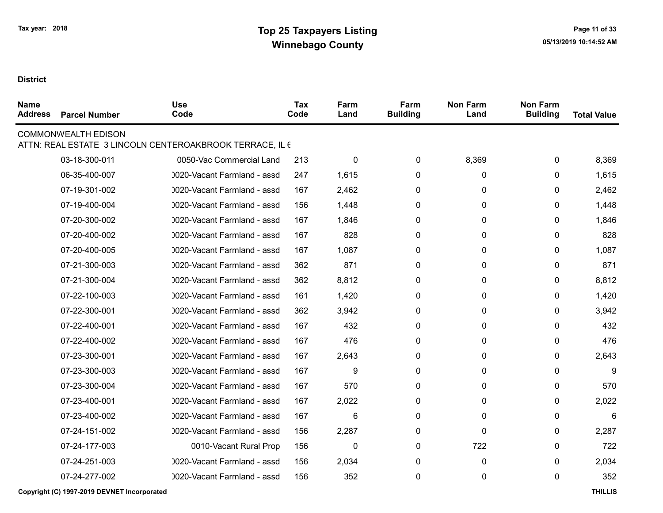| <b>Name</b><br><b>Address</b> | <b>Parcel Number</b>       | <b>Use</b><br>Code                                       | Tax<br>Code | Farm<br>Land | Farm<br><b>Building</b> | <b>Non Farm</b><br>Land | <b>Non Farm</b><br><b>Building</b> | <b>Total Value</b> |
|-------------------------------|----------------------------|----------------------------------------------------------|-------------|--------------|-------------------------|-------------------------|------------------------------------|--------------------|
|                               | <b>COMMONWEALTH EDISON</b> | ATTN: REAL ESTATE 3 LINCOLN CENTEROAKBROOK TERRACE, IL 6 |             |              |                         |                         |                                    |                    |
|                               | 03-18-300-011              | 0050-Vac Commercial Land                                 | 213         | 0            | $\mathbf 0$             | 8,369                   | 0                                  | 8,369              |
|                               | 06-35-400-007              | 0020-Vacant Farmland - assd                              | 247         | 1,615        | $\mathbf{0}$            | $\mathbf{0}$            | $\Omega$                           | 1,615              |
|                               | 07-19-301-002              | 0020-Vacant Farmland - assd                              | 167         | 2,462        | 0                       | 0                       | 0                                  | 2,462              |
|                               | 07-19-400-004              | 0020-Vacant Farmland - assd                              | 156         | 1,448        | $\mathbf{0}$            | $\mathbf{0}$            | $\mathbf{0}$                       | 1,448              |
|                               | 07-20-300-002              | 0020-Vacant Farmland - assd                              | 167         | 1,846        | $\mathbf{0}$            | $\mathbf 0$             | 0                                  | 1,846              |
|                               | 07-20-400-002              | 0020-Vacant Farmland - assd                              | 167         | 828          | $\mathbf{0}$            | $\mathbf{0}$            | $\Omega$                           | 828                |
|                               | 07-20-400-005              | 0020-Vacant Farmland - assd                              | 167         | 1,087        | 0                       | 0                       | $\mathbf{0}$                       | 1,087              |
|                               | 07-21-300-003              | 0020-Vacant Farmland - assd                              | 362         | 871          | $\mathbf{0}$            | $\mathbf{0}$            | $\Omega$                           | 871                |
|                               | 07-21-300-004              | 0020-Vacant Farmland - assd                              | 362         | 8,812        | $\mathbf{0}$            | 0                       | $\mathbf{0}$                       | 8,812              |
|                               | 07-22-100-003              | 0020-Vacant Farmland - assd                              | 161         | 1,420        | $\mathbf{0}$            | $\mathbf{0}$            | $\mathbf{0}$                       | 1,420              |
|                               | 07-22-300-001              | 0020-Vacant Farmland - assd                              | 362         | 3,942        | $\mathbf{0}$            | $\mathbf{0}$            | $\mathbf{0}$                       | 3,942              |
|                               | 07-22-400-001              | 0020-Vacant Farmland - assd                              | 167         | 432          | $\mathbf{0}$            | $\mathbf{0}$            | $\mathbf{0}$                       | 432                |
|                               | 07-22-400-002              | 0020-Vacant Farmland - assd                              | 167         | 476          | 0                       | 0                       | $\mathbf{0}$                       | 476                |
|                               | 07-23-300-001              | 0020-Vacant Farmland - assd                              | 167         | 2,643        | 0                       | 0                       | 0                                  | 2,643              |
|                               | 07-23-300-003              | 0020-Vacant Farmland - assd                              | 167         | 9            | 0                       | 0                       | $\mathbf{0}$                       | 9                  |
|                               | 07-23-300-004              | 0020-Vacant Farmland - assd                              | 167         | 570          | $\mathbf{0}$            | $\mathbf 0$             | 0                                  | 570                |
|                               | 07-23-400-001              | 0020-Vacant Farmland - assd                              | 167         | 2,022        | $\mathbf{0}$            | 0                       | 0                                  | 2,022              |
|                               | 07-23-400-002              | 0020-Vacant Farmland - assd                              | 167         | 6            | $\mathbf{0}$            | $\mathbf{0}$            | $\mathbf{0}$                       | 6                  |
|                               | 07-24-151-002              | 0020-Vacant Farmland - assd                              | 156         | 2,287        | 0                       | $\Omega$                | 0                                  | 2,287              |
|                               | 07-24-177-003              | 0010-Vacant Rural Prop                                   | 156         | $\mathbf{0}$ | $\mathbf{0}$            | 722                     | $\Omega$                           | 722                |
|                               | 07-24-251-003              | 0020-Vacant Farmland - assd                              | 156         | 2,034        | $\mathbf{0}$            | $\mathbf{0}$            | $\Omega$                           | 2,034              |
|                               | 07-24-277-002              | 0020-Vacant Farmland - assd                              | 156         | 352          | $\mathbf{0}$            | $\mathbf{0}$            | $\mathbf{0}$                       | 352                |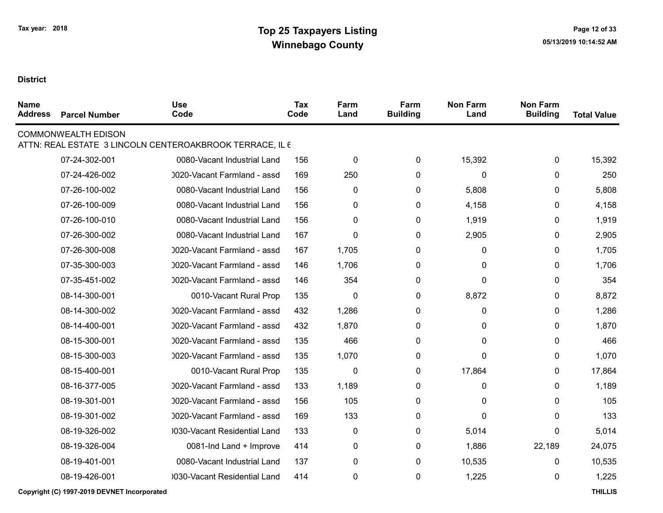| <b>Name</b><br><b>Address</b> | <b>Parcel Number</b>       | <b>Use</b><br>Code                                       | <b>Tax</b><br>Code | Farm<br>Land | Farm<br><b>Building</b> | <b>Non Farm</b><br>Land | <b>Non Farm</b><br><b>Building</b> | <b>Total Value</b> |
|-------------------------------|----------------------------|----------------------------------------------------------|--------------------|--------------|-------------------------|-------------------------|------------------------------------|--------------------|
|                               | <b>COMMONWEALTH EDISON</b> | ATTN: REAL ESTATE 3 LINCOLN CENTEROAKBROOK TERRACE, IL 6 |                    |              |                         |                         |                                    |                    |
|                               | 07-24-302-001              | 0080-Vacant Industrial Land                              | 156                | $\mathbf 0$  | 0                       | 15,392                  | 0                                  | 15,392             |
|                               | 07-24-426-002              | 0020-Vacant Farmland - assd                              | 169                | 250          | 0                       | 0                       | 0                                  | 250                |
|                               | 07-26-100-002              | 0080-Vacant Industrial Land                              | 156                | 0            | 0                       | 5,808                   | 0                                  | 5,808              |
|                               | 07-26-100-009              | 0080-Vacant Industrial Land                              | 156                | 0            | 0                       | 4,158                   | 0                                  | 4,158              |
|                               | 07-26-100-010              | 0080-Vacant Industrial Land                              | 156                | 0            | 0                       | 1,919                   | 0                                  | 1,919              |
|                               | 07-26-300-002              | 0080-Vacant Industrial Land                              | 167                | 0            | 0                       | 2,905                   | 0                                  | 2,905              |
|                               | 07-26-300-008              | 0020-Vacant Farmland - assd                              | 167                | 1,705        | 0                       | 0                       | 0                                  | 1,705              |
|                               | 07-35-300-003              | 0020-Vacant Farmland - assd                              | 146                | 1,706        | 0                       | 0                       | 0                                  | 1,706              |
|                               | 07-35-451-002              | 0020-Vacant Farmland - assd                              | 146                | 354          | 0                       | 0                       | 0                                  | 354                |
|                               | 08-14-300-001              | 0010-Vacant Rural Prop                                   | 135                | 0            | 0                       | 8,872                   | 0                                  | 8,872              |
|                               | 08-14-300-002              | 0020-Vacant Farmland - assd                              | 432                | 1,286        | 0                       | 0                       | $\mathbf{0}$                       | 1,286              |
|                               | 08-14-400-001              | 0020-Vacant Farmland - assd                              | 432                | 1,870        | 0                       | 0                       | 0                                  | 1,870              |
|                               | 08-15-300-001              | 0020-Vacant Farmland - assd                              | 135                | 466          | 0                       | 0                       | 0                                  | 466                |
|                               | 08-15-300-003              | 0020-Vacant Farmland - assd                              | 135                | 1,070        | 0                       | 0                       | 0                                  | 1,070              |
|                               | 08-15-400-001              | 0010-Vacant Rural Prop                                   | 135                | 0            | 0                       | 17,864                  | 0                                  | 17,864             |
|                               | 08-16-377-005              | 0020-Vacant Farmland - assd                              | 133                | 1,189        | 0                       | 0                       | $\mathbf{0}$                       | 1,189              |
|                               | 08-19-301-001              | 0020-Vacant Farmland - assd                              | 156                | 105          | 0                       | 0                       | 0                                  | 105                |
|                               | 08-19-301-002              | 0020-Vacant Farmland - assd                              | 169                | 133          | 0                       | 0                       | 0                                  | 133                |
|                               | 08-19-326-002              | 0030-Vacant Residential Land                             | 133                | 0            | 0                       | 5,014                   | 0                                  | 5,014              |
|                               | 08-19-326-004              | 0081-Ind Land + Improve                                  | 414                | 0            | 0                       | 1,886                   | 22,189                             | 24,075             |
|                               | 08-19-401-001              | 0080-Vacant Industrial Land                              | 137                | $\pmb{0}$    | 0                       | 10,535                  | 0                                  | 10,535             |
|                               | 08-19-426-001              | 0030-Vacant Residential Land                             | 414                | 0            | 0                       | 1,225                   | 0                                  | 1,225              |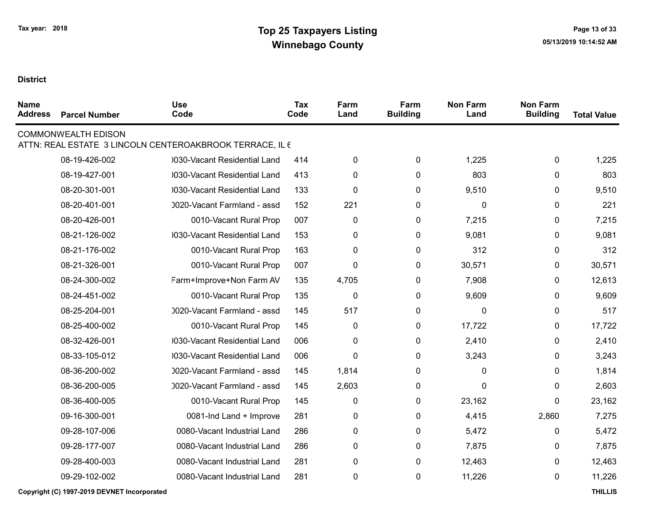### **District**

 $\blacksquare$ 

| <b>Name</b><br><b>Address</b> | <b>Parcel Number</b>       | <b>Use</b><br>Code                                       | <b>Tax</b><br>Code | Farm<br>Land     | Farm<br><b>Building</b> | <b>Non Farm</b><br>Land | <b>Non Farm</b><br><b>Building</b> | <b>Total Value</b> |
|-------------------------------|----------------------------|----------------------------------------------------------|--------------------|------------------|-------------------------|-------------------------|------------------------------------|--------------------|
|                               | <b>COMMONWEALTH EDISON</b> | ATTN: REAL ESTATE 3 LINCOLN CENTEROAKBROOK TERRACE, IL 6 |                    |                  |                         |                         |                                    |                    |
|                               | 08-19-426-002              | 0030-Vacant Residential Land                             | 414                | 0                | 0                       | 1,225                   | 0                                  | 1,225              |
|                               | 08-19-427-001              | 0030-Vacant Residential Land                             | 413                | 0                | 0                       | 803                     | 0                                  | 803                |
|                               | 08-20-301-001              | 0030-Vacant Residential Land                             | 133                | 0                | 0                       | 9,510                   | 0                                  | 9,510              |
|                               | 08-20-401-001              | 0020-Vacant Farmland - assd                              | 152                | 221              | $\boldsymbol{0}$        | 0                       | 0                                  | 221                |
|                               | 08-20-426-001              | 0010-Vacant Rural Prop                                   | 007                | 0                | 0                       | 7,215                   | 0                                  | 7,215              |
|                               | 08-21-126-002              | 0030-Vacant Residential Land                             | 153                | 0                | $\mathbf 0$             | 9,081                   | 0                                  | 9,081              |
|                               | 08-21-176-002              | 0010-Vacant Rural Prop                                   | 163                | 0                | $\mathbf{0}$            | 312                     | 0                                  | 312                |
|                               | 08-21-326-001              | 0010-Vacant Rural Prop                                   | 007                | 0                | $\mathbf 0$             | 30,571                  | 0                                  | 30,571             |
|                               | 08-24-300-002              | Farm+Improve+Non Farm AV                                 | 135                | 4,705            | 0                       | 7,908                   | 0                                  | 12,613             |
|                               | 08-24-451-002              | 0010-Vacant Rural Prop                                   | 135                | $\boldsymbol{0}$ | $\pmb{0}$               | 9,609                   | 0                                  | 9,609              |
|                               | 08-25-204-001              | 0020-Vacant Farmland - assd                              | 145                | 517              | $\boldsymbol{0}$        | 0                       | 0                                  | 517                |
|                               | 08-25-400-002              | 0010-Vacant Rural Prop                                   | 145                | 0                | $\mathbf 0$             | 17,722                  | 0                                  | 17,722             |
|                               | 08-32-426-001              | 0030-Vacant Residential Land                             | 006                | 0                | $\boldsymbol{0}$        | 2,410                   | 0                                  | 2,410              |
|                               | 08-33-105-012              | 0030-Vacant Residential Land                             | 006                | 0                | 0                       | 3,243                   | 0                                  | 3,243              |
|                               | 08-36-200-002              | 0020-Vacant Farmland - assd                              | 145                | 1,814            | 0                       | 0                       | 0                                  | 1,814              |
|                               | 08-36-200-005              | 0020-Vacant Farmland - assd                              | 145                | 2,603            | $\mathbf{0}$            | $\mathbf{0}$            | 0                                  | 2,603              |
|                               | 08-36-400-005              | 0010-Vacant Rural Prop                                   | 145                | 0                | $\mathbf 0$             | 23,162                  | 0                                  | 23,162             |
|                               | 09-16-300-001              | 0081-Ind Land + Improve                                  | 281                | 0                | $\mathbf 0$             | 4,415                   | 2,860                              | 7,275              |
|                               | 09-28-107-006              | 0080-Vacant Industrial Land                              | 286                | 0                | $\pmb{0}$               | 5,472                   | 0                                  | 5,472              |
|                               | 09-28-177-007              | 0080-Vacant Industrial Land                              | 286                | 0                | 0                       | 7,875                   | 0                                  | 7,875              |
|                               | 09-28-400-003              | 0080-Vacant Industrial Land                              | 281                | 0                | $\mathbf 0$             | 12,463                  | 0                                  | 12,463             |
|                               | 09-29-102-002              | 0080-Vacant Industrial Land                              | 281                | 0                | $\mathbf 0$             | 11,226                  | 0                                  | 11,226             |
|                               |                            |                                                          |                    |                  |                         |                         |                                    |                    |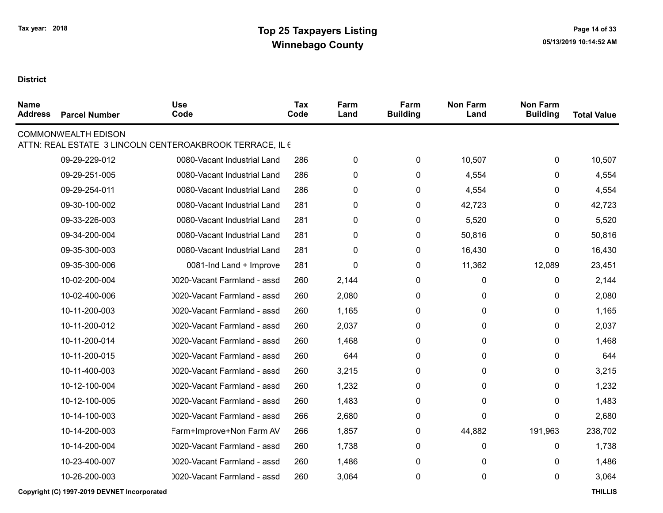| <b>Name</b><br><b>Address</b> | <b>Parcel Number</b>       | <b>Use</b><br>Code                                       | Tax<br>Code | Farm<br>Land | Farm<br><b>Building</b> | <b>Non Farm</b><br>Land | <b>Non Farm</b><br><b>Building</b> | <b>Total Value</b> |
|-------------------------------|----------------------------|----------------------------------------------------------|-------------|--------------|-------------------------|-------------------------|------------------------------------|--------------------|
|                               | <b>COMMONWEALTH EDISON</b> | ATTN: REAL ESTATE 3 LINCOLN CENTEROAKBROOK TERRACE, IL 6 |             |              |                         |                         |                                    |                    |
|                               | 09-29-229-012              | 0080-Vacant Industrial Land                              | 286         | $\pmb{0}$    | 0                       | 10,507                  | 0                                  | 10,507             |
|                               | 09-29-251-005              | 0080-Vacant Industrial Land                              | 286         | $\mathbf 0$  | $\mathbf 0$             | 4,554                   | 0                                  | 4,554              |
|                               | 09-29-254-011              | 0080-Vacant Industrial Land                              | 286         | $\pmb{0}$    | 0                       | 4,554                   | 0                                  | 4,554              |
|                               | 09-30-100-002              | 0080-Vacant Industrial Land                              | 281         | 0            | 0                       | 42,723                  | 0                                  | 42,723             |
|                               | 09-33-226-003              | 0080-Vacant Industrial Land                              | 281         | $\pmb{0}$    | 0                       | 5,520                   | 0                                  | 5,520              |
|                               | 09-34-200-004              | 0080-Vacant Industrial Land                              | 281         | 0            | 0                       | 50,816                  | 0                                  | 50,816             |
|                               | 09-35-300-003              | 0080-Vacant Industrial Land                              | 281         | $\pmb{0}$    | 0                       | 16,430                  | $\Omega$                           | 16,430             |
|                               | 09-35-300-006              | 0081-Ind Land + Improve                                  | 281         | $\mathbf 0$  | 0                       | 11,362                  | 12,089                             | 23,451             |
|                               | 10-02-200-004              | 0020-Vacant Farmland - assd                              | 260         | 2,144        | 0                       | 0                       | 0                                  | 2,144              |
|                               | 10-02-400-006              | 0020-Vacant Farmland - assd                              | 260         | 2,080        | 0                       | 0                       | 0                                  | 2,080              |
|                               | 10-11-200-003              | 0020-Vacant Farmland - assd                              | 260         | 1,165        | 0                       | 0                       | 0                                  | 1,165              |
|                               | 10-11-200-012              | 0020-Vacant Farmland - assd                              | 260         | 2,037        | 0                       | 0                       | 0                                  | 2,037              |
|                               | 10-11-200-014              | 0020-Vacant Farmland - assd                              | 260         | 1,468        | 0                       | 0                       | 0                                  | 1,468              |
|                               | 10-11-200-015              | 0020-Vacant Farmland - assd                              | 260         | 644          | 0                       | 0                       | 0                                  | 644                |
|                               | 10-11-400-003              | 0020-Vacant Farmland - assd                              | 260         | 3,215        | 0                       | 0                       | 0                                  | 3,215              |
|                               | 10-12-100-004              | 0020-Vacant Farmland - assd                              | 260         | 1,232        | 0                       | 0                       | 0                                  | 1,232              |
|                               | 10-12-100-005              | 0020-Vacant Farmland - assd                              | 260         | 1,483        | 0                       | 0                       | 0                                  | 1,483              |
|                               | 10-14-100-003              | 0020-Vacant Farmland - assd                              | 266         | 2,680        | 0                       | 0                       | 0                                  | 2,680              |
|                               | 10-14-200-003              | Farm+Improve+Non Farm AV                                 | 266         | 1,857        | 0                       | 44,882                  | 191,963                            | 238,702            |
|                               | 10-14-200-004              | 0020-Vacant Farmland - assd                              | 260         | 1,738        | 0                       | 0                       | 0                                  | 1,738              |
|                               | 10-23-400-007              | 0020-Vacant Farmland - assd                              | 260         | 1,486        | 0                       | 0                       | 0                                  | 1,486              |
|                               | 10-26-200-003              | 0020-Vacant Farmland - assd                              | 260         | 3,064        | 0                       | 0                       | 0                                  | 3,064              |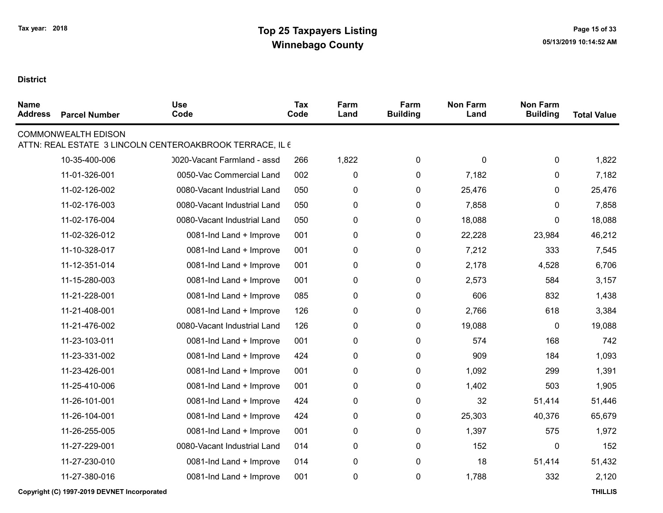| <b>Name</b><br><b>Address</b> | <b>Parcel Number</b>                        | <b>Use</b><br>Code                                       | <b>Tax</b><br>Code | Farm<br>Land | Farm<br><b>Building</b> | <b>Non Farm</b><br>Land | <b>Non Farm</b><br><b>Building</b> | <b>Total Value</b> |
|-------------------------------|---------------------------------------------|----------------------------------------------------------|--------------------|--------------|-------------------------|-------------------------|------------------------------------|--------------------|
|                               | <b>COMMONWEALTH EDISON</b>                  | ATTN: REAL ESTATE 3 LINCOLN CENTEROAKBROOK TERRACE, IL 6 |                    |              |                         |                         |                                    |                    |
|                               | 10-35-400-006                               | 0020-Vacant Farmland - assd                              | 266                | 1,822        | 0                       | 0                       | 0                                  | 1,822              |
|                               | 11-01-326-001                               | 0050-Vac Commercial Land                                 | 002                | $\pmb{0}$    | 0                       | 7,182                   | 0                                  | 7,182              |
|                               | 11-02-126-002                               | 0080-Vacant Industrial Land                              | 050                | $\pmb{0}$    | 0                       | 25,476                  | 0                                  | 25,476             |
|                               | 11-02-176-003                               | 0080-Vacant Industrial Land                              | 050                | $\pmb{0}$    | 0                       | 7,858                   | 0                                  | 7,858              |
|                               | 11-02-176-004                               | 0080-Vacant Industrial Land                              | 050                | $\pmb{0}$    | 0                       | 18,088                  | 0                                  | 18,088             |
|                               | 11-02-326-012                               | 0081-Ind Land + Improve                                  | 001                | $\pmb{0}$    | 0                       | 22,228                  | 23,984                             | 46,212             |
|                               | 11-10-328-017                               | 0081-Ind Land + Improve                                  | 001                | $\pmb{0}$    | 0                       | 7,212                   | 333                                | 7,545              |
|                               | 11-12-351-014                               | 0081-Ind Land + Improve                                  | 001                | 0            | 0                       | 2,178                   | 4,528                              | 6,706              |
|                               | 11-15-280-003                               | 0081-Ind Land + Improve                                  | 001                | 0            | $\pmb{0}$               | 2,573                   | 584                                | 3,157              |
|                               | 11-21-228-001                               | 0081-Ind Land + Improve                                  | 085                | $\pmb{0}$    | 0                       | 606                     | 832                                | 1,438              |
|                               | 11-21-408-001                               | 0081-Ind Land + Improve                                  | 126                | 0            | 0                       | 2,766                   | 618                                | 3,384              |
|                               | 11-21-476-002                               | 0080-Vacant Industrial Land                              | 126                | $\pmb{0}$    | 0                       | 19,088                  | $\pmb{0}$                          | 19,088             |
|                               | 11-23-103-011                               | 0081-Ind Land + Improve                                  | 001                | 0            | 0                       | 574                     | 168                                | 742                |
|                               | 11-23-331-002                               | 0081-Ind Land + Improve                                  | 424                | 0            | $\pmb{0}$               | 909                     | 184                                | 1,093              |
|                               | 11-23-426-001                               | 0081-Ind Land + Improve                                  | 001                | $\pmb{0}$    | 0                       | 1,092                   | 299                                | 1,391              |
|                               | 11-25-410-006                               | 0081-Ind Land + Improve                                  | 001                | 0            | $\pmb{0}$               | 1,402                   | 503                                | 1,905              |
|                               | 11-26-101-001                               | 0081-Ind Land + Improve                                  | 424                | $\pmb{0}$    | 0                       | 32                      | 51,414                             | 51,446             |
|                               | 11-26-104-001                               | 0081-Ind Land + Improve                                  | 424                | $\pmb{0}$    | 0                       | 25,303                  | 40,376                             | 65,679             |
|                               | 11-26-255-005                               | 0081-Ind Land + Improve                                  | 001                | 0            | 0                       | 1,397                   | 575                                | 1,972              |
|                               | 11-27-229-001                               | 0080-Vacant Industrial Land                              | 014                | $\pmb{0}$    | 0                       | 152                     | 0                                  | 152                |
|                               | 11-27-230-010                               | 0081-Ind Land + Improve                                  | 014                | 0            | 0                       | 18                      | 51,414                             | 51,432             |
|                               | 11-27-380-016                               | 0081-Ind Land + Improve                                  | 001                | $\pmb{0}$    | 0                       | 1,788                   | 332                                | 2,120              |
|                               | Copyright (C) 1997-2019 DEVNET Incorporated |                                                          |                    |              |                         |                         |                                    | <b>THILLIS</b>     |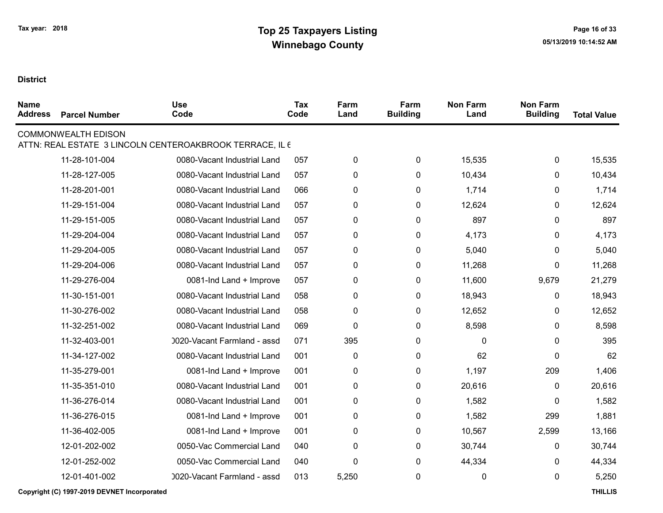| <b>Name</b><br><b>Address</b> | <b>Parcel Number</b>       | <b>Use</b><br>Code                                       | <b>Tax</b><br>Code | Farm<br>Land | Farm<br><b>Building</b> | <b>Non Farm</b><br>Land | <b>Non Farm</b><br><b>Building</b> | <b>Total Value</b> |
|-------------------------------|----------------------------|----------------------------------------------------------|--------------------|--------------|-------------------------|-------------------------|------------------------------------|--------------------|
|                               | <b>COMMONWEALTH EDISON</b> | ATTN: REAL ESTATE 3 LINCOLN CENTEROAKBROOK TERRACE, IL 6 |                    |              |                         |                         |                                    |                    |
|                               | 11-28-101-004              | 0080-Vacant Industrial Land                              | 057                | $\pmb{0}$    | 0                       | 15,535                  | 0                                  | 15,535             |
|                               | 11-28-127-005              | 0080-Vacant Industrial Land                              | 057                | 0            | 0                       | 10,434                  | 0                                  | 10,434             |
|                               | 11-28-201-001              | 0080-Vacant Industrial Land                              | 066                | $\pmb{0}$    | 0                       | 1,714                   | 0                                  | 1,714              |
|                               | 11-29-151-004              | 0080-Vacant Industrial Land                              | 057                | $\pmb{0}$    | 0                       | 12,624                  | 0                                  | 12,624             |
|                               | 11-29-151-005              | 0080-Vacant Industrial Land                              | 057                | $\pmb{0}$    | 0                       | 897                     | 0                                  | 897                |
|                               | 11-29-204-004              | 0080-Vacant Industrial Land                              | 057                | $\pmb{0}$    | $\pmb{0}$               | 4,173                   | 0                                  | 4,173              |
|                               | 11-29-204-005              | 0080-Vacant Industrial Land                              | 057                | 0            | 0                       | 5,040                   | 0                                  | 5,040              |
|                               | 11-29-204-006              | 0080-Vacant Industrial Land                              | 057                | $\pmb{0}$    | 0                       | 11,268                  | 0                                  | 11,268             |
|                               | 11-29-276-004              | 0081-Ind Land + Improve                                  | 057                | $\pmb{0}$    | 0                       | 11,600                  | 9,679                              | 21,279             |
|                               | 11-30-151-001              | 0080-Vacant Industrial Land                              | 058                | $\pmb{0}$    | 0                       | 18,943                  | 0                                  | 18,943             |
|                               | 11-30-276-002              | 0080-Vacant Industrial Land                              | 058                | $\pmb{0}$    | 0                       | 12,652                  | 0                                  | 12,652             |
|                               | 11-32-251-002              | 0080-Vacant Industrial Land                              | 069                | $\pmb{0}$    | $\pmb{0}$               | 8,598                   | 0                                  | 8,598              |
|                               | 11-32-403-001              | 0020-Vacant Farmland - assd                              | 071                | 395          | 0                       | 0                       | 0                                  | 395                |
|                               | 11-34-127-002              | 0080-Vacant Industrial Land                              | 001                | $\pmb{0}$    | $\pmb{0}$               | 62                      | 0                                  | 62                 |
|                               | 11-35-279-001              | 0081-Ind Land + Improve                                  | 001                | $\pmb{0}$    | 0                       | 1,197                   | 209                                | 1,406              |
|                               | 11-35-351-010              | 0080-Vacant Industrial Land                              | 001                | $\pmb{0}$    | 0                       | 20,616                  | 0                                  | 20,616             |
|                               | 11-36-276-014              | 0080-Vacant Industrial Land                              | 001                | $\pmb{0}$    | $\pmb{0}$               | 1,582                   | 0                                  | 1,582              |
|                               | 11-36-276-015              | 0081-Ind Land + Improve                                  | 001                | 0            | 0                       | 1,582                   | 299                                | 1,881              |
|                               | 11-36-402-005              | 0081-Ind Land + Improve                                  | 001                | $\pmb{0}$    | 0                       | 10,567                  | 2,599                              | 13,166             |
|                               | 12-01-202-002              | 0050-Vac Commercial Land                                 | 040                | $\pmb{0}$    | 0                       | 30,744                  | 0                                  | 30,744             |
|                               | 12-01-252-002              | 0050-Vac Commercial Land                                 | 040                | $\pmb{0}$    | 0                       | 44,334                  | 0                                  | 44,334             |
|                               | 12-01-401-002              | 0020-Vacant Farmland - assd                              | 013                | 5,250        | 0                       | 0                       | 0                                  | 5,250              |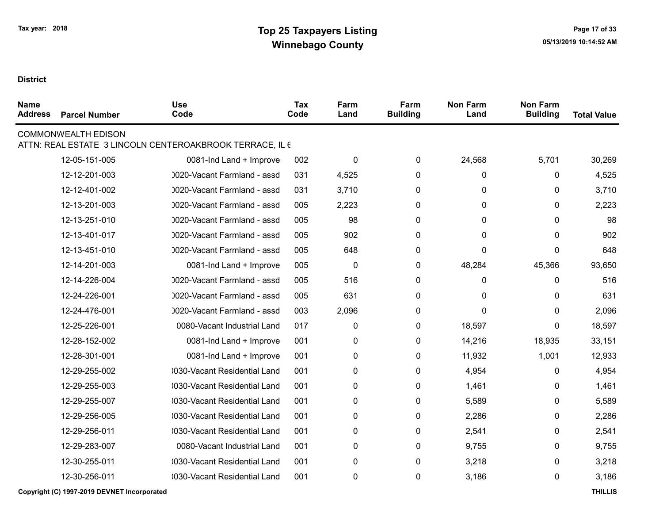| <b>COMMONWEALTH EDISON</b>                                                                        |        |
|---------------------------------------------------------------------------------------------------|--------|
| ATTN: REAL ESTATE 3 LINCOLN CENTEROAKBROOK TERRACE, IL 6                                          |        |
| $\pmb{0}$<br>24,568<br>5,701<br>12-05-151-005<br>0081-Ind Land + Improve<br>002<br>0              | 30,269 |
| 12-12-201-003<br>0<br>0<br>0020-Vacant Farmland - assd<br>031<br>4,525<br>0                       | 4,525  |
| 12-12-401-002<br>0020-Vacant Farmland - assd<br>3,710<br>$\pmb{0}$<br>0<br>031<br>0               | 3,710  |
| 12-13-201-003<br>0020-Vacant Farmland - assd<br>005<br>2,223<br>0<br>0<br>0                       | 2,223  |
| 12-13-251-010<br>0020-Vacant Farmland - assd<br>005<br>98<br>0<br>0<br>0                          | 98     |
| 12-13-401-017<br>0020-Vacant Farmland - assd<br>005<br>902<br>0<br>0<br>0                         | 902    |
| 12-13-451-010<br>648<br>0<br>0020-Vacant Farmland - assd<br>005<br>0<br>0                         | 648    |
| 12-14-201-003<br>0081-Ind Land + Improve<br>005<br>$\mathbf 0$<br>0<br>48,284<br>45,366           | 93,650 |
| 12-14-226-004<br>0020-Vacant Farmland - assd<br>516<br>$\pmb{0}$<br>0<br>005<br>0                 | 516    |
| 631<br>$\pmb{0}$<br>12-24-226-001<br>0020-Vacant Farmland - assd<br>005<br>$\mathbf{0}$<br>0      | 631    |
| 12-24-476-001<br>0020-Vacant Farmland - assd<br>003<br>2,096<br>0<br>$\Omega$<br>0                | 2,096  |
| 12-25-226-001<br>0080-Vacant Industrial Land<br>017<br>$\pmb{0}$<br>$\pmb{0}$<br>18,597<br>0      | 18,597 |
| 12-28-152-002<br>0081-Ind Land + Improve<br>001<br>$\mathbf 0$<br>$\mathbf 0$<br>14,216<br>18,935 | 33,151 |
| 12-28-301-001<br>0081-Ind Land + Improve<br>001<br>$\mathbf 0$<br>0<br>11,932<br>1,001            | 12,933 |
| 12-29-255-002<br>0030-Vacant Residential Land<br>001<br>$\pmb{0}$<br>0<br>4,954<br>0              | 4,954  |
| 12-29-255-003<br>0030-Vacant Residential Land<br>001<br>0<br>0<br>1,461<br>0                      | 1,461  |
| 12-29-255-007<br>030-Vacant Residential Land<br>001<br>0<br>0<br>5,589<br>0                       | 5,589  |
| 12-29-256-005<br>0030-Vacant Residential Land<br>2,286<br>001<br>0<br>0<br>0                      | 2,286  |
| $\pmb{0}$<br>12-29-256-011<br>0030-Vacant Residential Land<br>001<br>0<br>2,541<br>0              | 2,541  |
| 12-29-283-007<br>0080-Vacant Industrial Land<br>001<br>$\mathbf 0$<br>0<br>9,755<br>0             | 9,755  |
| 12-30-255-011<br>$\pmb{0}$<br>$\pmb{0}$<br>3,218<br>0030-Vacant Residential Land<br>001<br>0      | 3,218  |
| 12-30-256-011<br>0030-Vacant Residential Land<br>$\pmb{0}$<br>001<br>0<br>3,186<br>0              | 3,186  |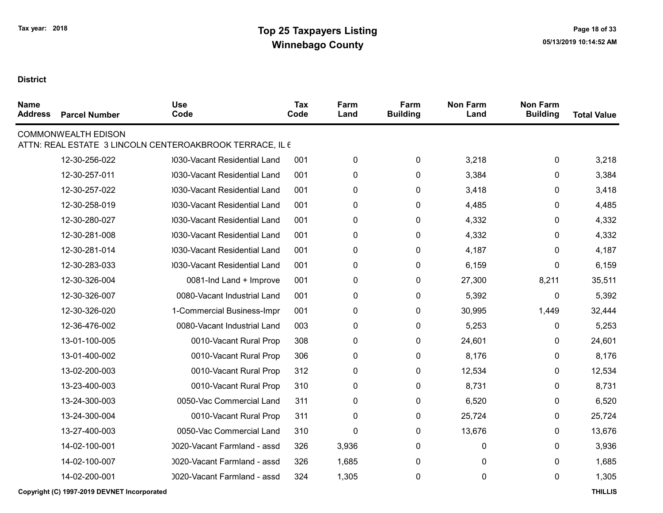| <b>Name</b><br><b>Address</b> | <b>Parcel Number</b>       | <b>Use</b><br>Code                                       | <b>Tax</b><br>Code | Farm<br>Land | Farm<br><b>Building</b> | <b>Non Farm</b><br>Land | <b>Non Farm</b><br><b>Building</b> | <b>Total Value</b> |
|-------------------------------|----------------------------|----------------------------------------------------------|--------------------|--------------|-------------------------|-------------------------|------------------------------------|--------------------|
|                               | <b>COMMONWEALTH EDISON</b> | ATTN: REAL ESTATE 3 LINCOLN CENTEROAKBROOK TERRACE, IL 6 |                    |              |                         |                         |                                    |                    |
|                               | 12-30-256-022              | 0030-Vacant Residential Land                             | 001                | 0            | 0                       | 3,218                   | 0                                  | 3,218              |
|                               | 12-30-257-011              | 0030-Vacant Residential Land                             | 001                | 0            | 0                       | 3,384                   | 0                                  | 3,384              |
|                               | 12-30-257-022              | 0030-Vacant Residential Land                             | 001                | 0            | 0                       | 3,418                   | 0                                  | 3,418              |
|                               | 12-30-258-019              | 030-Vacant Residential Land                              | 001                | 0            | 0                       | 4,485                   | 0                                  | 4,485              |
|                               | 12-30-280-027              | 0030-Vacant Residential Land                             | 001                | 0            | 0                       | 4,332                   | 0                                  | 4,332              |
|                               | 12-30-281-008              | 0030-Vacant Residential Land                             | 001                | 0            | 0                       | 4,332                   | 0                                  | 4,332              |
|                               | 12-30-281-014              | 030-Vacant Residential Land                              | 001                | 0            | 0                       | 4,187                   | 0                                  | 4,187              |
|                               | 12-30-283-033              | 0030-Vacant Residential Land                             | 001                | 0            | 0                       | 6,159                   | 0                                  | 6,159              |
|                               | 12-30-326-004              | 0081-Ind Land + Improve                                  | 001                | 0            | 0                       | 27,300                  | 8,211                              | 35,511             |
|                               | 12-30-326-007              | 0080-Vacant Industrial Land                              | 001                | 0            | 0                       | 5,392                   | 0                                  | 5,392              |
|                               | 12-30-326-020              | 1-Commercial Business-Impr                               | 001                | 0            | 0                       | 30,995                  | 1,449                              | 32,444             |
|                               | 12-36-476-002              | 0080-Vacant Industrial Land                              | 003                | 0            | 0                       | 5,253                   | 0                                  | 5,253              |
|                               | 13-01-100-005              | 0010-Vacant Rural Prop                                   | 308                | 0            | $\pmb{0}$               | 24,601                  | 0                                  | 24,601             |
|                               | 13-01-400-002              | 0010-Vacant Rural Prop                                   | 306                | 0            | 0                       | 8,176                   | 0                                  | 8,176              |
|                               | 13-02-200-003              | 0010-Vacant Rural Prop                                   | 312                | 0            | 0                       | 12,534                  | 0                                  | 12,534             |
|                               | 13-23-400-003              | 0010-Vacant Rural Prop                                   | 310                | 0            | 0                       | 8,731                   | 0                                  | 8,731              |
|                               | 13-24-300-003              | 0050-Vac Commercial Land                                 | 311                | 0            | 0                       | 6,520                   | 0                                  | 6,520              |
|                               | 13-24-300-004              | 0010-Vacant Rural Prop                                   | 311                | 0            | 0                       | 25,724                  | 0                                  | 25,724             |
|                               | 13-27-400-003              | 0050-Vac Commercial Land                                 | 310                | $\pmb{0}$    | 0                       | 13,676                  | 0                                  | 13,676             |
|                               | 14-02-100-001              | 0020-Vacant Farmland - assd                              | 326                | 3,936        | 0                       | 0                       | 0                                  | 3,936              |
|                               | 14-02-100-007              | 0020-Vacant Farmland - assd                              | 326                | 1,685        | 0                       | 0                       | 0                                  | 1,685              |
|                               | 14-02-200-001              | 0020-Vacant Farmland - assd                              | 324                | 1,305        | 0                       | 0                       | 0                                  | 1,305              |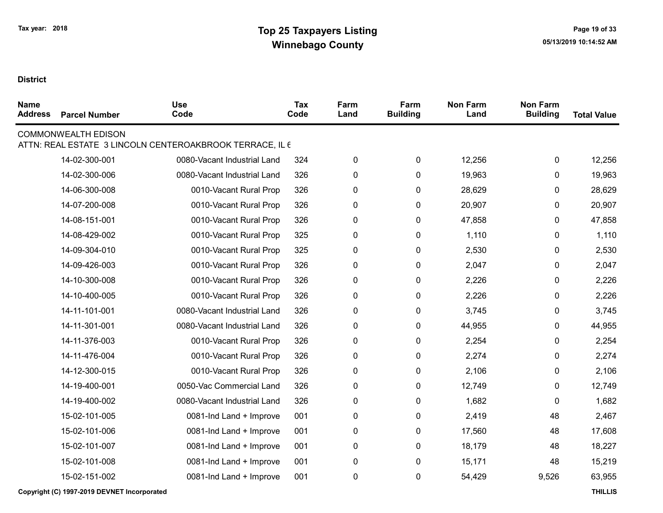| <b>Name</b><br><b>Address</b> | <b>Parcel Number</b>       | <b>Use</b><br>Code                                       | Tax<br>Code | Farm<br>Land | Farm<br><b>Building</b> | <b>Non Farm</b><br>Land | <b>Non Farm</b><br><b>Building</b> | <b>Total Value</b> |
|-------------------------------|----------------------------|----------------------------------------------------------|-------------|--------------|-------------------------|-------------------------|------------------------------------|--------------------|
|                               | <b>COMMONWEALTH EDISON</b> | ATTN: REAL ESTATE 3 LINCOLN CENTEROAKBROOK TERRACE, IL 6 |             |              |                         |                         |                                    |                    |
|                               | 14-02-300-001              | 0080-Vacant Industrial Land                              | 324         | $\pmb{0}$    | $\pmb{0}$               | 12,256                  | $\mathbf 0$                        | 12,256             |
|                               | 14-02-300-006              | 0080-Vacant Industrial Land                              | 326         | $\pmb{0}$    | 0                       | 19,963                  | 0                                  | 19,963             |
|                               | 14-06-300-008              | 0010-Vacant Rural Prop                                   | 326         | 0            | 0                       | 28,629                  | 0                                  | 28,629             |
|                               | 14-07-200-008              | 0010-Vacant Rural Prop                                   | 326         | 0            | 0                       | 20,907                  | 0                                  | 20,907             |
|                               | 14-08-151-001              | 0010-Vacant Rural Prop                                   | 326         | 0            | $\pmb{0}$               | 47,858                  | 0                                  | 47,858             |
|                               | 14-08-429-002              | 0010-Vacant Rural Prop                                   | 325         | 0            | 0                       | 1,110                   | 0                                  | 1,110              |
|                               | 14-09-304-010              | 0010-Vacant Rural Prop                                   | 325         | 0            | $\pmb{0}$               | 2,530                   | 0                                  | 2,530              |
|                               | 14-09-426-003              | 0010-Vacant Rural Prop                                   | 326         | 0            | 0                       | 2,047                   | 0                                  | 2,047              |
|                               | 14-10-300-008              | 0010-Vacant Rural Prop                                   | 326         | 0            | 0                       | 2,226                   | 0                                  | 2,226              |
|                               | 14-10-400-005              | 0010-Vacant Rural Prop                                   | 326         | 0            | $\pmb{0}$               | 2,226                   | 0                                  | 2,226              |
|                               | 14-11-101-001              | 0080-Vacant Industrial Land                              | 326         | 0            | 0                       | 3,745                   | 0                                  | 3,745              |
|                               | 14-11-301-001              | 0080-Vacant Industrial Land                              | 326         | $\pmb{0}$    | 0                       | 44,955                  | 0                                  | 44,955             |
|                               | 14-11-376-003              | 0010-Vacant Rural Prop                                   | 326         | 0            | 0                       | 2,254                   | 0                                  | 2,254              |
|                               | 14-11-476-004              | 0010-Vacant Rural Prop                                   | 326         | 0            | 0                       | 2,274                   | 0                                  | 2,274              |
|                               | 14-12-300-015              | 0010-Vacant Rural Prop                                   | 326         | 0            | 0                       | 2,106                   | 0                                  | 2,106              |
|                               | 14-19-400-001              | 0050-Vac Commercial Land                                 | 326         | 0            | 0                       | 12,749                  | 0                                  | 12,749             |
|                               | 14-19-400-002              | 0080-Vacant Industrial Land                              | 326         | 0            | 0                       | 1,682                   | 0                                  | 1,682              |
|                               | 15-02-101-005              | 0081-Ind Land + Improve                                  | 001         | 0            | 0                       | 2,419                   | 48                                 | 2,467              |
|                               | 15-02-101-006              | 0081-Ind Land + Improve                                  | 001         | 0            | 0                       | 17,560                  | 48                                 | 17,608             |
|                               | 15-02-101-007              | 0081-Ind Land + Improve                                  | 001         | 0            | 0                       | 18,179                  | 48                                 | 18,227             |
|                               | 15-02-101-008              | 0081-Ind Land + Improve                                  | 001         | 0            | 0                       | 15,171                  | 48                                 | 15,219             |
|                               | 15-02-151-002              | 0081-Ind Land + Improve                                  | 001         | $\pmb{0}$    | 0                       | 54,429                  | 9,526                              | 63,955             |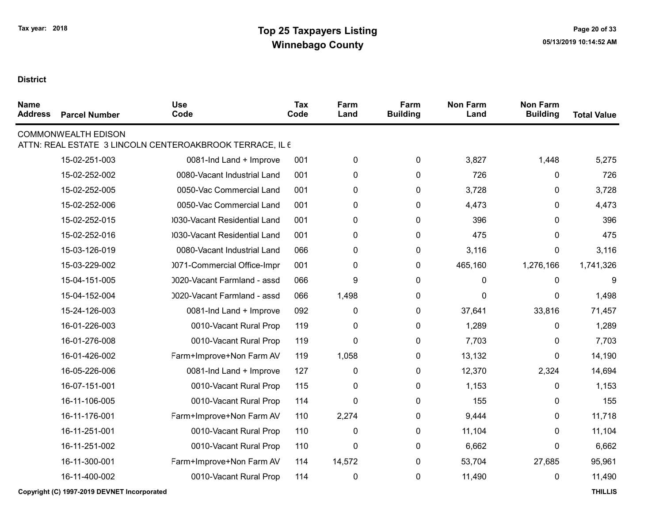| <b>Name</b><br><b>Address</b> | <b>Parcel Number</b>       | <b>Use</b><br>Code                                       | <b>Tax</b><br>Code | Farm<br>Land     | Farm<br><b>Building</b> | <b>Non Farm</b><br>Land | <b>Non Farm</b><br><b>Building</b> | <b>Total Value</b> |
|-------------------------------|----------------------------|----------------------------------------------------------|--------------------|------------------|-------------------------|-------------------------|------------------------------------|--------------------|
|                               | <b>COMMONWEALTH EDISON</b> | ATTN: REAL ESTATE 3 LINCOLN CENTEROAKBROOK TERRACE, IL 6 |                    |                  |                         |                         |                                    |                    |
|                               | 15-02-251-003              | 0081-Ind Land + Improve                                  | 001                | $\pmb{0}$        | $\pmb{0}$               | 3,827                   | 1,448                              | 5,275              |
|                               | 15-02-252-002              | 0080-Vacant Industrial Land                              | 001                | $\mathbf 0$      | $\mathbf 0$             | 726                     | $\mathbf 0$                        | 726                |
|                               | 15-02-252-005              | 0050-Vac Commercial Land                                 | 001                | 0                | $\pmb{0}$               | 3,728                   | $\pmb{0}$                          | 3,728              |
|                               | 15-02-252-006              | 0050-Vac Commercial Land                                 | 001                | 0                | 0                       | 4,473                   | $\mathbf{0}$                       | 4,473              |
|                               | 15-02-252-015              | 0030-Vacant Residential Land                             | 001                | 0                | 0                       | 396                     | 0                                  | 396                |
|                               | 15-02-252-016              | 0030-Vacant Residential Land                             | 001                | 0                | $\mathbf 0$             | 475                     | $\mathbf{0}$                       | 475                |
|                               | 15-03-126-019              | 0080-Vacant Industrial Land                              | 066                | 0                | $\mathbf 0$             | 3,116                   | 0                                  | 3,116              |
|                               | 15-03-229-002              | 0071-Commercial Office-Impr                              | 001                | $\boldsymbol{0}$ | 0                       | 465,160                 | 1,276,166                          | 1,741,326          |
|                               | 15-04-151-005              | 0020-Vacant Farmland - assd                              | 066                | 9                | $\mathbf 0$             | $\Omega$                | $\mathbf 0$                        | 9                  |
|                               | 15-04-152-004              | 0020-Vacant Farmland - assd                              | 066                | 1,498            | $\pmb{0}$               | $\Omega$                | 0                                  | 1,498              |
|                               | 15-24-126-003              | 0081-Ind Land + Improve                                  | 092                | $\mathbf 0$      | $\mathbf 0$             | 37,641                  | 33,816                             | 71,457             |
|                               | 16-01-226-003              | 0010-Vacant Rural Prop                                   | 119                | 0                | 0                       | 1,289                   | $\pmb{0}$                          | 1,289              |
|                               | 16-01-276-008              | 0010-Vacant Rural Prop                                   | 119                | $\Omega$         | $\pmb{0}$               | 7,703                   | 0                                  | 7,703              |
|                               | 16-01-426-002              | Farm+Improve+Non Farm AV                                 | 119                | 1,058            | 0                       | 13,132                  | $\mathbf 0$                        | 14,190             |
|                               | 16-05-226-006              | 0081-Ind Land + Improve                                  | 127                | 0                | 0                       | 12,370                  | 2,324                              | 14,694             |
|                               | 16-07-151-001              | 0010-Vacant Rural Prop                                   | 115                | 0                | 0                       | 1,153                   | 0                                  | 1,153              |
|                               | 16-11-106-005              | 0010-Vacant Rural Prop                                   | 114                | $\mathbf{0}$     | $\mathbf 0$             | 155                     | 0                                  | 155                |
|                               | 16-11-176-001              | Farm+Improve+Non Farm AV                                 | 110                | 2,274            | 0                       | 9,444                   | $\mathbf{0}$                       | 11,718             |
|                               | 16-11-251-001              | 0010-Vacant Rural Prop                                   | 110                | $\mathbf 0$      | $\mathbf 0$             | 11,104                  | $\mathbf{0}$                       | 11,104             |
|                               | 16-11-251-002              | 0010-Vacant Rural Prop                                   | 110                | 0                | $\mathbf 0$             | 6,662                   | $\mathbf{0}$                       | 6,662              |
|                               | 16-11-300-001              | Farm+Improve+Non Farm AV                                 | 114                | 14,572           | $\pmb{0}$               | 53,704                  | 27,685                             | 95,961             |
|                               | 16-11-400-002              | 0010-Vacant Rural Prop                                   | 114                | $\pmb{0}$        | $\pmb{0}$               | 11,490                  | $\pmb{0}$                          | 11,490             |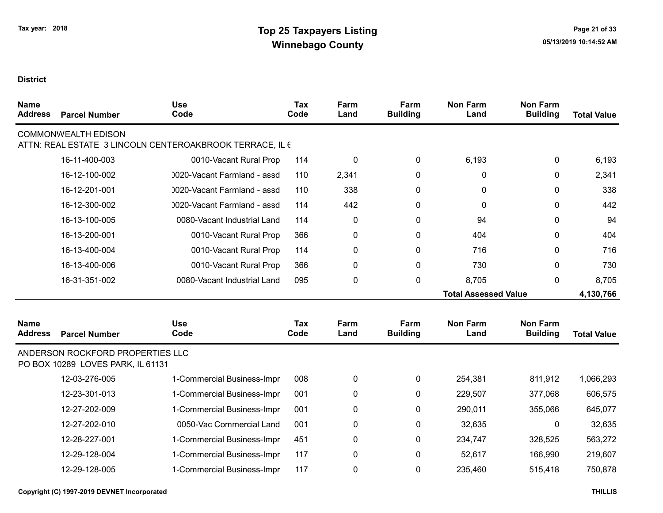| <b>Name</b><br><b>Address</b> | <b>Parcel Number</b>                                                  | <b>Use</b><br>Code                                       | <b>Tax</b><br>Code | Farm<br>Land | Farm<br><b>Building</b> | <b>Non Farm</b><br>Land     | <b>Non Farm</b><br><b>Building</b> | <b>Total Value</b> |
|-------------------------------|-----------------------------------------------------------------------|----------------------------------------------------------|--------------------|--------------|-------------------------|-----------------------------|------------------------------------|--------------------|
|                               | <b>COMMONWEALTH EDISON</b>                                            |                                                          |                    |              |                         |                             |                                    |                    |
|                               |                                                                       | ATTN: REAL ESTATE 3 LINCOLN CENTEROAKBROOK TERRACE, IL 6 |                    |              |                         |                             |                                    |                    |
|                               | 16-11-400-003                                                         | 0010-Vacant Rural Prop                                   | 114                | 0            | 0                       | 6,193                       | 0                                  | 6,193              |
|                               | 16-12-100-002                                                         | 0020-Vacant Farmland - assd                              | 110                | 2,341        | 0                       | 0                           | 0                                  | 2,341              |
|                               | 16-12-201-001                                                         | 0020-Vacant Farmland - assd                              | 110                | 338          | 0                       | 0                           | 0                                  | 338                |
|                               | 16-12-300-002                                                         | 0020-Vacant Farmland - assd                              | 114                | 442          | 0                       | 0                           | 0                                  | 442                |
|                               | 16-13-100-005                                                         | 0080-Vacant Industrial Land                              | 114                | 0            | 0                       | 94                          | 0                                  | 94                 |
|                               | 16-13-200-001                                                         | 0010-Vacant Rural Prop                                   | 366                | 0            | 0                       | 404                         | 0                                  | 404                |
|                               | 16-13-400-004                                                         | 0010-Vacant Rural Prop                                   | 114                | 0            | 0                       | 716                         | 0                                  | 716                |
|                               | 16-13-400-006                                                         | 0010-Vacant Rural Prop                                   | 366                | 0            | 0                       | 730                         | 0                                  | 730                |
|                               | 16-31-351-002                                                         | 0080-Vacant Industrial Land                              | 095                | 0            | 0                       | 8,705                       | 0                                  | 8,705              |
|                               |                                                                       |                                                          |                    |              |                         | <b>Total Assessed Value</b> |                                    | 4,130,766          |
|                               |                                                                       |                                                          |                    |              |                         |                             |                                    |                    |
| <b>Name</b><br><b>Address</b> | <b>Parcel Number</b>                                                  | <b>Use</b><br>Code                                       | Tax<br>Code        | Farm<br>Land | Farm<br><b>Building</b> | <b>Non Farm</b><br>Land     | <b>Non Farm</b><br><b>Building</b> | <b>Total Value</b> |
|                               | ANDERSON ROCKFORD PROPERTIES LLC<br>PO BOX 10289 LOVES PARK, IL 61131 |                                                          |                    |              |                         |                             |                                    |                    |
|                               | 12-03-276-005                                                         | 1-Commercial Business-Impr                               | 008                | 0            | 0                       | 254,381                     | 811,912                            | 1,066,293          |
|                               | 12-23-301-013                                                         | 1-Commercial Business-Impr                               | 001                | 0            | 0                       | 229,507                     | 377,068                            | 606,575            |
|                               | 12-27-202-009                                                         | 1-Commercial Business-Impr                               | 001                | 0            | 0                       | 290,011                     | 355,066                            | 645,077            |
|                               | 12-27-202-010                                                         | 0050-Vac Commercial Land                                 | 001                | 0            | 0                       | 32,635                      | $\mathbf 0$                        | 32,635             |
|                               | 12-28-227-001                                                         | 1-Commercial Business-Impr                               | 451                | 0            | 0                       | 234,747                     | 328,525                            | 563,272            |
|                               | 12-29-128-004                                                         | 1-Commercial Business-Impr                               | 117                | 0            | 0                       | 52,617                      | 166,990                            | 219,607            |
|                               | 12-29-128-005                                                         | 1-Commercial Business-Impr                               | 117                | 0            | 0                       | 235,460                     | 515,418                            | 750,878            |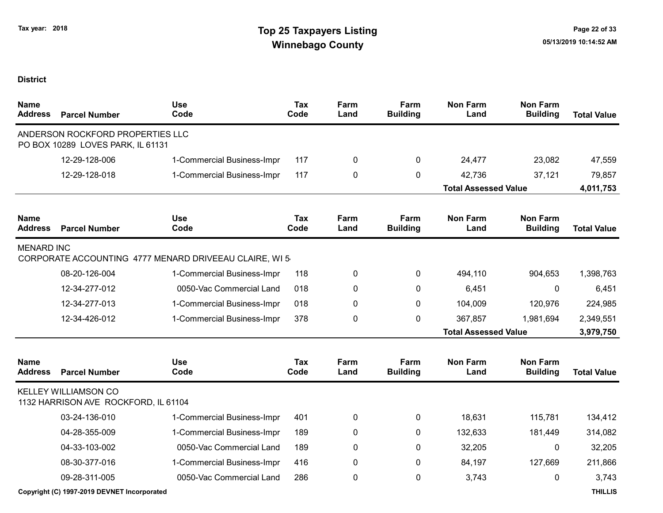| <b>Name</b><br><b>Address</b> | <b>Parcel Number</b>                                                  | <b>Use</b><br>Code                                     | <b>Tax</b><br>Code | Farm<br>Land | Farm<br><b>Building</b> | <b>Non Farm</b><br>Land     | <b>Non Farm</b><br><b>Building</b> | <b>Total Value</b> |
|-------------------------------|-----------------------------------------------------------------------|--------------------------------------------------------|--------------------|--------------|-------------------------|-----------------------------|------------------------------------|--------------------|
|                               | ANDERSON ROCKFORD PROPERTIES LLC<br>PO BOX 10289 LOVES PARK, IL 61131 |                                                        |                    |              |                         |                             |                                    |                    |
|                               | 12-29-128-006                                                         | 1-Commercial Business-Impr                             | 117                | 0            | 0                       | 24,477                      | 23,082                             | 47,559             |
|                               | 12-29-128-018                                                         | 1-Commercial Business-Impr                             | 117                | 0            | 0                       | 42,736                      | 37,121                             | 79,857             |
|                               |                                                                       |                                                        |                    |              |                         | <b>Total Assessed Value</b> |                                    | 4,011,753          |
| <b>Name</b><br><b>Address</b> | <b>Parcel Number</b>                                                  | <b>Use</b><br>Code                                     | <b>Tax</b><br>Code | Farm<br>Land | Farm<br><b>Building</b> | <b>Non Farm</b><br>Land     | <b>Non Farm</b><br><b>Building</b> | <b>Total Value</b> |
| <b>MENARD INC</b>             |                                                                       | CORPORATE ACCOUNTING 4777 MENARD DRIVEEAU CLAIRE, WI 5 |                    |              |                         |                             |                                    |                    |
|                               | 08-20-126-004                                                         | 1-Commercial Business-Impr                             | 118                | 0            | 0                       | 494,110                     | 904,653                            | 1,398,763          |
|                               | 12-34-277-012                                                         | 0050-Vac Commercial Land                               | 018                | 0            | 0                       | 6,451                       | 0                                  | 6,451              |
|                               | 12-34-277-013                                                         | 1-Commercial Business-Impr                             | 018                | 0            | $\mathbf{0}$            | 104,009                     | 120,976                            | 224,985            |
|                               | 12-34-426-012                                                         | 1-Commercial Business-Impr                             | 378                | 0            | 0                       | 367,857                     | 1,981,694                          | 2,349,551          |
|                               |                                                                       |                                                        |                    |              |                         | <b>Total Assessed Value</b> |                                    | 3,979,750          |
| <b>Name</b><br><b>Address</b> | <b>Parcel Number</b>                                                  | Use<br>Code                                            | Tax<br>Code        | Farm<br>Land | Farm<br><b>Building</b> | <b>Non Farm</b><br>Land     | <b>Non Farm</b><br><b>Building</b> | <b>Total Value</b> |
|                               | <b>KELLEY WILLIAMSON CO</b><br>1132 HARRISON AVE ROCKFORD, IL 61104   |                                                        |                    |              |                         |                             |                                    |                    |
|                               | 03-24-136-010                                                         | 1-Commercial Business-Impr                             | 401                | 0            | 0                       | 18,631                      | 115,781                            | 134,412            |
|                               | 04-28-355-009                                                         | 1-Commercial Business-Impr                             | 189                | 0            | 0                       | 132,633                     | 181,449                            | 314,082            |
|                               | 04-33-103-002                                                         | 0050-Vac Commercial Land                               | 189                | 0            | 0                       | 32,205                      | $\mathbf 0$                        | 32,205             |
|                               | 08-30-377-016                                                         | 1-Commercial Business-Impr                             | 416                | 0            | 0                       | 84,197                      | 127,669                            | 211,866            |
|                               | 09-28-311-005                                                         | 0050-Vac Commercial Land                               | 286                | 0            | 0                       | 3,743                       | 0                                  | 3,743              |
|                               | Copyright (C) 1997-2019 DEVNET Incorporated                           |                                                        |                    |              |                         |                             |                                    | <b>THILLIS</b>     |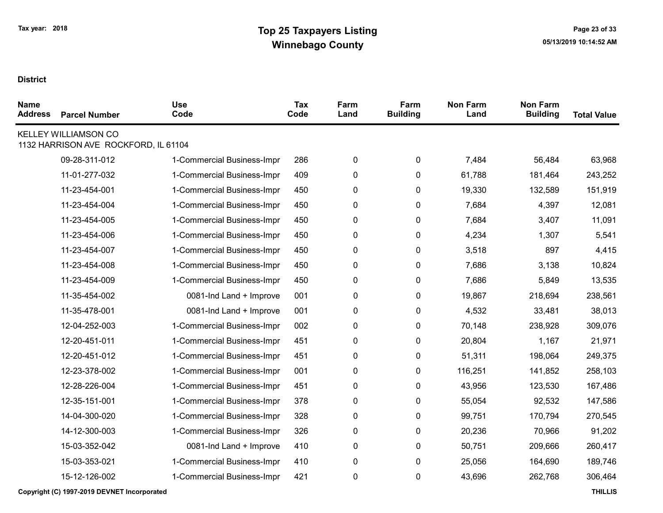| <b>Name</b><br><b>Address</b> | <b>Parcel Number</b>                                                | <b>Use</b><br>Code         | <b>Tax</b><br>Code | Farm<br>Land | Farm<br><b>Building</b> | <b>Non Farm</b><br>Land | <b>Non Farm</b><br><b>Building</b> | <b>Total Value</b> |
|-------------------------------|---------------------------------------------------------------------|----------------------------|--------------------|--------------|-------------------------|-------------------------|------------------------------------|--------------------|
|                               | <b>KELLEY WILLIAMSON CO</b><br>1132 HARRISON AVE ROCKFORD, IL 61104 |                            |                    |              |                         |                         |                                    |                    |
|                               | 09-28-311-012                                                       | 1-Commercial Business-Impr | 286                | $\pmb{0}$    | 0                       | 7,484                   | 56,484                             | 63,968             |
|                               | 11-01-277-032                                                       | 1-Commercial Business-Impr | 409                | $\pmb{0}$    | $\pmb{0}$               | 61,788                  | 181,464                            | 243,252            |
|                               | 11-23-454-001                                                       | 1-Commercial Business-Impr | 450                | $\pmb{0}$    | $\pmb{0}$               | 19,330                  | 132,589                            | 151,919            |
|                               | 11-23-454-004                                                       | 1-Commercial Business-Impr | 450                | $\pmb{0}$    | $\pmb{0}$               | 7,684                   | 4,397                              | 12,081             |
|                               | 11-23-454-005                                                       | 1-Commercial Business-Impr | 450                | 0            | 0                       | 7,684                   | 3,407                              | 11,091             |
|                               | 11-23-454-006                                                       | 1-Commercial Business-Impr | 450                | $\pmb{0}$    | 0                       | 4,234                   | 1,307                              | 5,541              |
|                               | 11-23-454-007                                                       | 1-Commercial Business-Impr | 450                | $\pmb{0}$    | 0                       | 3,518                   | 897                                | 4,415              |
|                               | 11-23-454-008                                                       | 1-Commercial Business-Impr | 450                | $\pmb{0}$    | $\pmb{0}$               | 7,686                   | 3,138                              | 10,824             |
|                               | 11-23-454-009                                                       | 1-Commercial Business-Impr | 450                | $\pmb{0}$    | 0                       | 7,686                   | 5,849                              | 13,535             |
|                               | 11-35-454-002                                                       | 0081-Ind Land + Improve    | 001                | $\pmb{0}$    | $\mathbf 0$             | 19,867                  | 218,694                            | 238,561            |
|                               | 11-35-478-001                                                       | 0081-Ind Land + Improve    | 001                | $\pmb{0}$    | $\mathbf 0$             | 4,532                   | 33,481                             | 38,013             |
|                               | 12-04-252-003                                                       | 1-Commercial Business-Impr | 002                | $\pmb{0}$    | 0                       | 70,148                  | 238,928                            | 309,076            |
|                               | 12-20-451-011                                                       | 1-Commercial Business-Impr | 451                | $\pmb{0}$    | 0                       | 20,804                  | 1,167                              | 21,971             |
|                               | 12-20-451-012                                                       | 1-Commercial Business-Impr | 451                | $\pmb{0}$    | $\pmb{0}$               | 51,311                  | 198,064                            | 249,375            |
|                               | 12-23-378-002                                                       | 1-Commercial Business-Impr | 001                | $\pmb{0}$    | $\pmb{0}$               | 116,251                 | 141,852                            | 258,103            |
|                               | 12-28-226-004                                                       | 1-Commercial Business-Impr | 451                | $\pmb{0}$    | 0                       | 43,956                  | 123,530                            | 167,486            |
|                               | 12-35-151-001                                                       | 1-Commercial Business-Impr | 378                | $\pmb{0}$    | 0                       | 55,054                  | 92,532                             | 147,586            |
|                               | 14-04-300-020                                                       | 1-Commercial Business-Impr | 328                | $\pmb{0}$    | $\pmb{0}$               | 99,751                  | 170,794                            | 270,545            |
|                               | 14-12-300-003                                                       | 1-Commercial Business-Impr | 326                | 0            | 0                       | 20,236                  | 70,966                             | 91,202             |
|                               | 15-03-352-042                                                       | 0081-Ind Land + Improve    | 410                | $\pmb{0}$    | $\pmb{0}$               | 50,751                  | 209,666                            | 260,417            |
|                               | 15-03-353-021                                                       | 1-Commercial Business-Impr | 410                | $\pmb{0}$    | $\pmb{0}$               | 25,056                  | 164,690                            | 189,746            |
|                               | 15-12-126-002                                                       | 1-Commercial Business-Impr | 421                | $\pmb{0}$    | $\pmb{0}$               | 43,696                  | 262,768                            | 306,464            |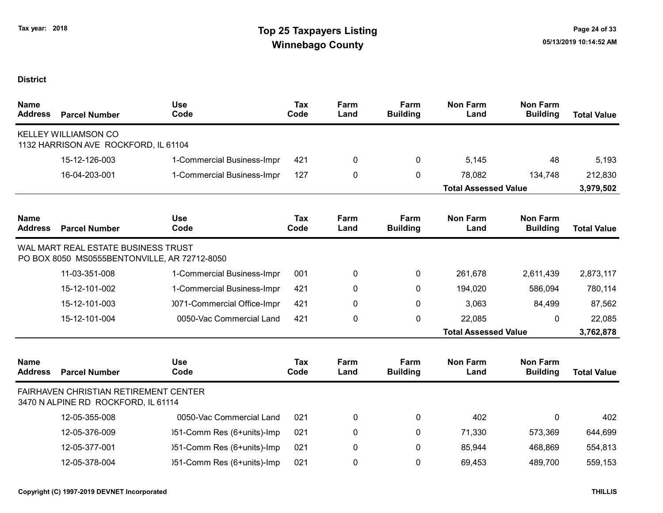| <b>Name</b><br><b>Address</b> | <b>Parcel Number</b>                                                                | <b>Use</b><br>Code          | <b>Tax</b><br>Code | Farm<br>Land | Farm<br><b>Building</b> | <b>Non Farm</b><br>Land     | <b>Non Farm</b><br><b>Building</b> | <b>Total Value</b> |
|-------------------------------|-------------------------------------------------------------------------------------|-----------------------------|--------------------|--------------|-------------------------|-----------------------------|------------------------------------|--------------------|
|                               | <b>KELLEY WILLIAMSON CO</b><br>1132 HARRISON AVE ROCKFORD, IL 61104                 |                             |                    |              |                         |                             |                                    |                    |
|                               | 15-12-126-003                                                                       | 1-Commercial Business-Impr  | 421                | 0            | 0                       | 5,145                       | 48                                 | 5,193              |
|                               | 16-04-203-001                                                                       | 1-Commercial Business-Impr  | 127                | 0            | $\mathbf{0}$            | 78,082                      | 134,748                            | 212,830            |
|                               |                                                                                     |                             |                    |              |                         | <b>Total Assessed Value</b> |                                    | 3,979,502          |
| <b>Name</b><br><b>Address</b> | <b>Parcel Number</b>                                                                | <b>Use</b><br>Code          | <b>Tax</b><br>Code | Farm<br>Land | Farm<br><b>Building</b> | <b>Non Farm</b><br>Land     | <b>Non Farm</b><br><b>Building</b> | <b>Total Value</b> |
|                               | WAL MART REAL ESTATE BUSINESS TRUST<br>PO BOX 8050 MS0555BENTONVILLE, AR 72712-8050 |                             |                    |              |                         |                             |                                    |                    |
|                               | 11-03-351-008                                                                       | 1-Commercial Business-Impr  | 001                | 0            | 0                       | 261,678                     | 2,611,439                          | 2,873,117          |
|                               | 15-12-101-002                                                                       | 1-Commercial Business-Impr  | 421                | 0            | 0                       | 194,020                     | 586,094                            | 780,114            |
|                               | 15-12-101-003                                                                       | 0071-Commercial Office-Impr | 421                | 0            | 0                       | 3,063                       | 84,499                             | 87,562             |
|                               | 15-12-101-004                                                                       | 0050-Vac Commercial Land    | 421                | 0            | $\mathbf 0$             | 22,085                      | $\mathbf{0}$                       | 22,085             |
|                               |                                                                                     |                             |                    |              |                         | <b>Total Assessed Value</b> |                                    | 3,762,878          |
| <b>Name</b><br><b>Address</b> | <b>Parcel Number</b>                                                                | <b>Use</b><br>Code          | <b>Tax</b><br>Code | Farm<br>Land | Farm<br><b>Building</b> | <b>Non Farm</b><br>Land     | <b>Non Farm</b><br><b>Building</b> | <b>Total Value</b> |
|                               | <b>FAIRHAVEN CHRISTIAN RETIREMENT CENTER</b><br>3470 N ALPINE RD ROCKFORD, IL 61114 |                             |                    |              |                         |                             |                                    |                    |
|                               | 12-05-355-008                                                                       | 0050-Vac Commercial Land    | 021                | 0            | 0                       | 402                         | $\mathbf{0}$                       | 402                |
|                               | 12-05-376-009                                                                       | )51-Comm Res (6+units)-Imp  | 021                | 0            | 0                       | 71,330                      | 573,369                            | 644,699            |
|                               | 12-05-377-001                                                                       | )51-Comm Res (6+units)-Imp  | 021                | $\mathbf 0$  | 0                       | 85,944                      | 468,869                            | 554,813            |
|                               | 12-05-378-004                                                                       | )51-Comm Res (6+units)-Imp  | 021                | 0            | 0                       | 69,453                      | 489,700                            | 559,153            |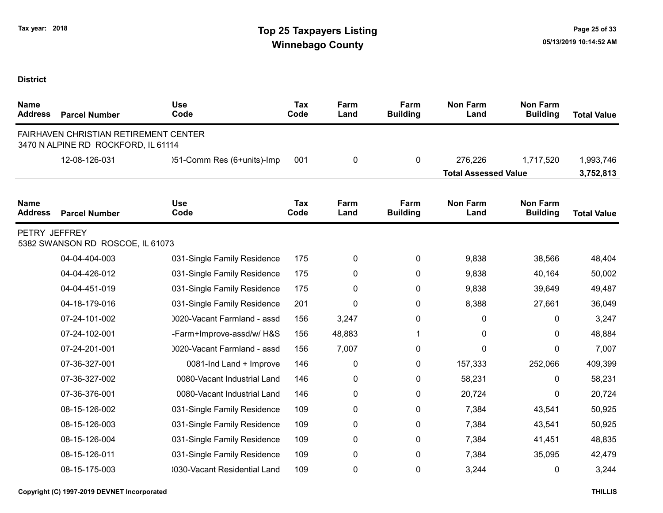| <b>Name</b><br><b>Address</b> | <b>Parcel Number</b>                                                         | <b>Use</b><br>Code          | Tax<br>Code | Farm<br>Land | Farm<br><b>Building</b> | <b>Non Farm</b><br>Land     | <b>Non Farm</b><br><b>Building</b> | <b>Total Value</b> |
|-------------------------------|------------------------------------------------------------------------------|-----------------------------|-------------|--------------|-------------------------|-----------------------------|------------------------------------|--------------------|
|                               | FAIRHAVEN CHRISTIAN RETIREMENT CENTER<br>3470 N ALPINE RD ROCKFORD, IL 61114 |                             |             |              |                         |                             |                                    |                    |
|                               | 12-08-126-031                                                                | )51-Comm Res (6+units)-Imp  | 001         | 0            | $\mathbf 0$             | 276,226                     | 1,717,520                          | 1,993,746          |
|                               |                                                                              |                             |             |              |                         | <b>Total Assessed Value</b> |                                    | 3,752,813          |
| <b>Name</b><br><b>Address</b> | <b>Parcel Number</b>                                                         | <b>Use</b><br>Code          | Tax<br>Code | Farm<br>Land | Farm<br><b>Building</b> | <b>Non Farm</b><br>Land     | <b>Non Farm</b><br><b>Building</b> | <b>Total Value</b> |
| PETRY JEFFREY                 | 5382 SWANSON RD ROSCOE, IL 61073                                             |                             |             |              |                         |                             |                                    |                    |
|                               | 04-04-404-003                                                                | 031-Single Family Residence | 175         | 0            | $\mathbf 0$             | 9,838                       | 38,566                             | 48,404             |
|                               | 04-04-426-012                                                                | 031-Single Family Residence | 175         | 0            | 0                       | 9,838                       | 40,164                             | 50,002             |
|                               | 04-04-451-019                                                                | 031-Single Family Residence | 175         | 0            | $\pmb{0}$               | 9,838                       | 39,649                             | 49,487             |
|                               | 04-18-179-016                                                                | 031-Single Family Residence | 201         | 0            | 0                       | 8,388                       | 27,661                             | 36,049             |
|                               | 07-24-101-002                                                                | 0020-Vacant Farmland - assd | 156         | 3,247        | 0                       | 0                           | 0                                  | 3,247              |
|                               | 07-24-102-001                                                                | -Farm+Improve-assd/w/ H&S   | 156         | 48,883       | 1                       | 0                           | 0                                  | 48,884             |
|                               | 07-24-201-001                                                                | 0020-Vacant Farmland - assd | 156         | 7,007        | 0                       | 0                           | 0                                  | 7,007              |
|                               | 07-36-327-001                                                                | 0081-Ind Land + Improve     | 146         | 0            | 0                       | 157,333                     | 252,066                            | 409,399            |
|                               | 07-36-327-002                                                                | 0080-Vacant Industrial Land | 146         | 0            | 0                       | 58,231                      | 0                                  | 58,231             |
|                               | 07-36-376-001                                                                | 0080-Vacant Industrial Land | 146         | 0            | 0                       | 20,724                      | 0                                  | 20,724             |
|                               | 08-15-126-002                                                                | 031-Single Family Residence | 109         | 0            | 0                       | 7,384                       | 43,541                             | 50,925             |
|                               | 08-15-126-003                                                                | 031-Single Family Residence | 109         | 0            | 0                       | 7,384                       | 43,541                             | 50,925             |
|                               | 08-15-126-004                                                                | 031-Single Family Residence | 109         | 0            | 0                       | 7,384                       | 41,451                             | 48,835             |
|                               | 08-15-126-011                                                                | 031-Single Family Residence | 109         | 0            | 0                       | 7,384                       | 35,095                             | 42,479             |
|                               | 08-15-175-003                                                                | 030-Vacant Residential Land | 109         | 0            | 0                       | 3,244                       | 0                                  | 3,244              |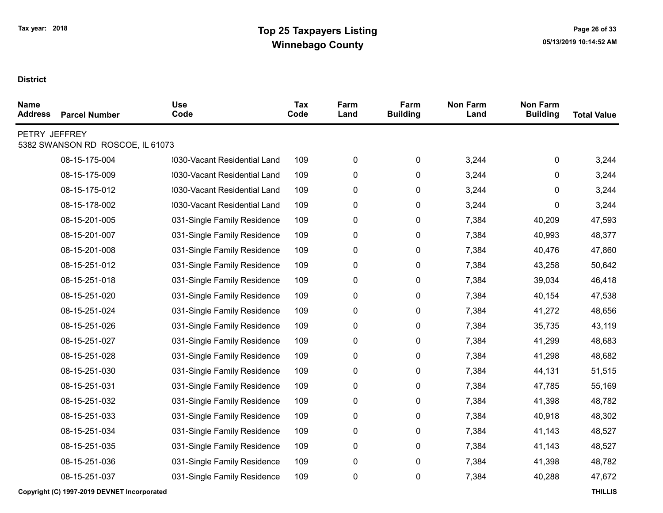| <b>Name</b><br><b>Address</b> | <b>Parcel Number</b>             | <b>Use</b><br>Code           | Tax<br>Code | Farm<br>Land | Farm<br><b>Building</b> | <b>Non Farm</b><br>Land | <b>Non Farm</b><br><b>Building</b> | <b>Total Value</b> |
|-------------------------------|----------------------------------|------------------------------|-------------|--------------|-------------------------|-------------------------|------------------------------------|--------------------|
| PETRY JEFFREY                 | 5382 SWANSON RD ROSCOE, IL 61073 |                              |             |              |                         |                         |                                    |                    |
|                               | 08-15-175-004                    | 0030-Vacant Residential Land | 109         | 0            | 0                       | 3,244                   | 0                                  | 3,244              |
|                               | 08-15-175-009                    | 0030-Vacant Residential Land | 109         | 0            | 0                       | 3,244                   | 0                                  | 3,244              |
|                               | 08-15-175-012                    | 0030-Vacant Residential Land | 109         | 0            | 0                       | 3,244                   | 0                                  | 3,244              |
|                               | 08-15-178-002                    | 0030-Vacant Residential Land | 109         | 0            | 0                       | 3,244                   | 0                                  | 3,244              |
|                               | 08-15-201-005                    | 031-Single Family Residence  | 109         | 0            | 0                       | 7,384                   | 40,209                             | 47,593             |
|                               | 08-15-201-007                    | 031-Single Family Residence  | 109         | 0            | 0                       | 7,384                   | 40,993                             | 48,377             |
|                               | 08-15-201-008                    | 031-Single Family Residence  | 109         | 0            | 0                       | 7,384                   | 40,476                             | 47,860             |
|                               | 08-15-251-012                    | 031-Single Family Residence  | 109         | 0            | 0                       | 7,384                   | 43,258                             | 50,642             |
|                               | 08-15-251-018                    | 031-Single Family Residence  | 109         | 0            | 0                       | 7,384                   | 39,034                             | 46,418             |
|                               | 08-15-251-020                    | 031-Single Family Residence  | 109         | 0            | 0                       | 7,384                   | 40,154                             | 47,538             |
|                               | 08-15-251-024                    | 031-Single Family Residence  | 109         | 0            | 0                       | 7,384                   | 41,272                             | 48,656             |
|                               | 08-15-251-026                    | 031-Single Family Residence  | 109         | 0            | 0                       | 7,384                   | 35,735                             | 43,119             |
|                               | 08-15-251-027                    | 031-Single Family Residence  | 109         | 0            | 0                       | 7,384                   | 41,299                             | 48,683             |
|                               | 08-15-251-028                    | 031-Single Family Residence  | 109         | 0            | 0                       | 7,384                   | 41,298                             | 48,682             |
|                               | 08-15-251-030                    | 031-Single Family Residence  | 109         | 0            | 0                       | 7,384                   | 44,131                             | 51,515             |
|                               | 08-15-251-031                    | 031-Single Family Residence  | 109         | 0            | 0                       | 7,384                   | 47,785                             | 55,169             |
|                               | 08-15-251-032                    | 031-Single Family Residence  | 109         | 0            | 0                       | 7,384                   | 41,398                             | 48,782             |
|                               | 08-15-251-033                    | 031-Single Family Residence  | 109         | 0            | 0                       | 7,384                   | 40,918                             | 48,302             |
|                               | 08-15-251-034                    | 031-Single Family Residence  | 109         | 0            | 0                       | 7,384                   | 41,143                             | 48,527             |
|                               | 08-15-251-035                    | 031-Single Family Residence  | 109         | 0            | 0                       | 7,384                   | 41,143                             | 48,527             |
|                               | 08-15-251-036                    | 031-Single Family Residence  | 109         | 0            | 0                       | 7,384                   | 41,398                             | 48,782             |
|                               | 08-15-251-037                    | 031-Single Family Residence  | 109         | 0            | 0                       | 7,384                   | 40,288                             | 47,672             |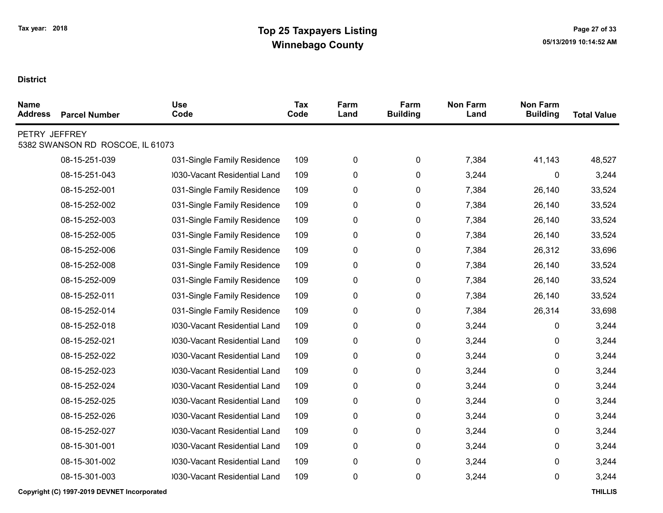| <b>Name</b><br><b>Address</b> | <b>Parcel Number</b>             | <b>Use</b><br>Code           | <b>Tax</b><br>Code | Farm<br>Land | Farm<br><b>Building</b> | <b>Non Farm</b><br>Land | <b>Non Farm</b><br><b>Building</b> | <b>Total Value</b> |
|-------------------------------|----------------------------------|------------------------------|--------------------|--------------|-------------------------|-------------------------|------------------------------------|--------------------|
| PETRY JEFFREY                 | 5382 SWANSON RD ROSCOE, IL 61073 |                              |                    |              |                         |                         |                                    |                    |
|                               | 08-15-251-039                    | 031-Single Family Residence  | 109                | 0            | 0                       | 7,384                   | 41,143                             | 48,527             |
|                               | 08-15-251-043                    | 0030-Vacant Residential Land | 109                | 0            | 0                       | 3,244                   | 0                                  | 3,244              |
|                               | 08-15-252-001                    | 031-Single Family Residence  | 109                | 0            | 0                       | 7,384                   | 26,140                             | 33,524             |
|                               | 08-15-252-002                    | 031-Single Family Residence  | 109                | 0            | 0                       | 7,384                   | 26,140                             | 33,524             |
|                               | 08-15-252-003                    | 031-Single Family Residence  | 109                | 0            | 0                       | 7,384                   | 26,140                             | 33,524             |
|                               | 08-15-252-005                    | 031-Single Family Residence  | 109                | 0            | 0                       | 7,384                   | 26,140                             | 33,524             |
|                               | 08-15-252-006                    | 031-Single Family Residence  | 109                | 0            | 0                       | 7,384                   | 26,312                             | 33,696             |
|                               | 08-15-252-008                    | 031-Single Family Residence  | 109                | 0            | 0                       | 7,384                   | 26,140                             | 33,524             |
|                               | 08-15-252-009                    | 031-Single Family Residence  | 109                | 0            | 0                       | 7,384                   | 26,140                             | 33,524             |
|                               | 08-15-252-011                    | 031-Single Family Residence  | 109                | 0            | 0                       | 7,384                   | 26,140                             | 33,524             |
|                               | 08-15-252-014                    | 031-Single Family Residence  | 109                | 0            | 0                       | 7,384                   | 26,314                             | 33,698             |
|                               | 08-15-252-018                    | 0030-Vacant Residential Land | 109                | 0            | 0                       | 3,244                   | 0                                  | 3,244              |
|                               | 08-15-252-021                    | 0030-Vacant Residential Land | 109                | 0            | 0                       | 3,244                   | 0                                  | 3,244              |
|                               | 08-15-252-022                    | 0030-Vacant Residential Land | 109                | 0            | 0                       | 3,244                   | 0                                  | 3,244              |
|                               | 08-15-252-023                    | 0030-Vacant Residential Land | 109                | 0            | 0                       | 3,244                   | 0                                  | 3,244              |
|                               | 08-15-252-024                    | 0030-Vacant Residential Land | 109                | 0            | 0                       | 3,244                   | 0                                  | 3,244              |
|                               | 08-15-252-025                    | 0030-Vacant Residential Land | 109                | 0            | 0                       | 3,244                   | 0                                  | 3,244              |
|                               | 08-15-252-026                    | 0030-Vacant Residential Land | 109                | 0            | 0                       | 3,244                   | 0                                  | 3,244              |
|                               | 08-15-252-027                    | 0030-Vacant Residential Land | 109                | 0            | 0                       | 3,244                   | 0                                  | 3,244              |
|                               | 08-15-301-001                    | 0030-Vacant Residential Land | 109                | 0            | 0                       | 3,244                   | 0                                  | 3,244              |
|                               | 08-15-301-002                    | 0030-Vacant Residential Land | 109                | 0            | 0                       | 3,244                   | 0                                  | 3,244              |
|                               | 08-15-301-003                    | 0030-Vacant Residential Land | 109                | 0            | 0                       | 3,244                   | 0                                  | 3,244              |
|                               |                                  |                              |                    |              |                         |                         |                                    |                    |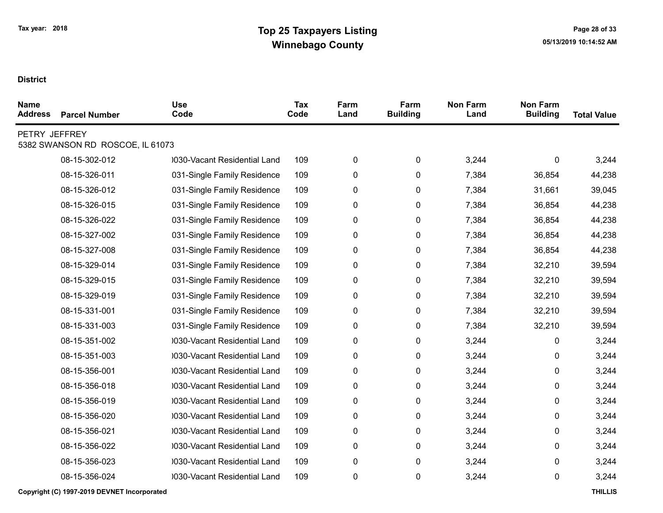| <b>Name</b><br><b>Address</b> | <b>Parcel Number</b>             | <b>Use</b><br>Code           | Tax<br>Code | Farm<br>Land | Farm<br><b>Building</b> | <b>Non Farm</b><br>Land | <b>Non Farm</b><br><b>Building</b> | <b>Total Value</b> |
|-------------------------------|----------------------------------|------------------------------|-------------|--------------|-------------------------|-------------------------|------------------------------------|--------------------|
| PETRY JEFFREY                 | 5382 SWANSON RD ROSCOE, IL 61073 |                              |             |              |                         |                         |                                    |                    |
|                               | 08-15-302-012                    | 0030-Vacant Residential Land | 109         | 0            | 0                       | 3,244                   | 0                                  | 3,244              |
|                               | 08-15-326-011                    | 031-Single Family Residence  | 109         | 0            | 0                       | 7,384                   | 36,854                             | 44,238             |
|                               | 08-15-326-012                    | 031-Single Family Residence  | 109         | 0            | 0                       | 7,384                   | 31,661                             | 39,045             |
|                               | 08-15-326-015                    | 031-Single Family Residence  | 109         | 0            | 0                       | 7,384                   | 36,854                             | 44,238             |
|                               | 08-15-326-022                    | 031-Single Family Residence  | 109         | 0            | 0                       | 7,384                   | 36,854                             | 44,238             |
|                               | 08-15-327-002                    | 031-Single Family Residence  | 109         | 0            | 0                       | 7,384                   | 36,854                             | 44,238             |
|                               | 08-15-327-008                    | 031-Single Family Residence  | 109         | 0            | 0                       | 7,384                   | 36,854                             | 44,238             |
|                               | 08-15-329-014                    | 031-Single Family Residence  | 109         | 0            | 0                       | 7,384                   | 32,210                             | 39,594             |
|                               | 08-15-329-015                    | 031-Single Family Residence  | 109         | 0            | 0                       | 7,384                   | 32,210                             | 39,594             |
|                               | 08-15-329-019                    | 031-Single Family Residence  | 109         | 0            | 0                       | 7,384                   | 32,210                             | 39,594             |
|                               | 08-15-331-001                    | 031-Single Family Residence  | 109         | 0            | 0                       | 7,384                   | 32,210                             | 39,594             |
|                               | 08-15-331-003                    | 031-Single Family Residence  | 109         | 0            | 0                       | 7,384                   | 32,210                             | 39,594             |
|                               | 08-15-351-002                    | 0030-Vacant Residential Land | 109         | 0            | 0                       | 3,244                   | 0                                  | 3,244              |
|                               | 08-15-351-003                    | 030-Vacant Residential Land  | 109         | 0            | 0                       | 3,244                   | 0                                  | 3,244              |
|                               | 08-15-356-001                    | 0030-Vacant Residential Land | 109         | 0            | 0                       | 3,244                   | 0                                  | 3,244              |
|                               | 08-15-356-018                    | 030-Vacant Residential Land  | 109         | 0            | 0                       | 3,244                   | 0                                  | 3,244              |
|                               | 08-15-356-019                    | 0030-Vacant Residential Land | 109         | 0            | 0                       | 3,244                   | 0                                  | 3,244              |
|                               | 08-15-356-020                    | 0030-Vacant Residential Land | 109         | 0            | 0                       | 3,244                   | 0                                  | 3,244              |
|                               | 08-15-356-021                    | 0030-Vacant Residential Land | 109         | 0            | 0                       | 3,244                   | 0                                  | 3,244              |
|                               | 08-15-356-022                    | 0030-Vacant Residential Land | 109         | 0            | 0                       | 3,244                   | 0                                  | 3,244              |
|                               | 08-15-356-023                    | 0030-Vacant Residential Land | 109         | 0            | 0                       | 3,244                   | 0                                  | 3,244              |
|                               | 08-15-356-024                    | 0030-Vacant Residential Land | 109         | 0            | 0                       | 3,244                   | 0                                  | 3,244              |
|                               |                                  |                              |             |              |                         |                         |                                    |                    |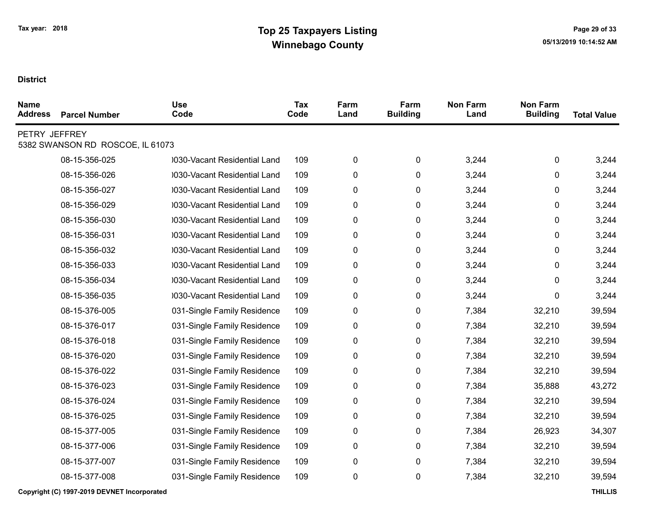| <b>Name</b><br><b>Address</b> | <b>Parcel Number</b>             | <b>Use</b><br>Code           | <b>Tax</b><br>Code | Farm<br>Land | Farm<br><b>Building</b> | <b>Non Farm</b><br>Land | <b>Non Farm</b><br><b>Building</b> | <b>Total Value</b> |
|-------------------------------|----------------------------------|------------------------------|--------------------|--------------|-------------------------|-------------------------|------------------------------------|--------------------|
| PETRY JEFFREY                 | 5382 SWANSON RD ROSCOE, IL 61073 |                              |                    |              |                         |                         |                                    |                    |
|                               | 08-15-356-025                    | 0030-Vacant Residential Land | 109                | $\pmb{0}$    | $\pmb{0}$               | 3,244                   | 0                                  | 3,244              |
|                               | 08-15-356-026                    | 0030-Vacant Residential Land | 109                | $\pmb{0}$    | 0                       | 3,244                   | 0                                  | 3,244              |
|                               | 08-15-356-027                    | 0030-Vacant Residential Land | 109                | $\pmb{0}$    | 0                       | 3,244                   | 0                                  | 3,244              |
|                               | 08-15-356-029                    | 0030-Vacant Residential Land | 109                | 0            | 0                       | 3,244                   | 0                                  | 3,244              |
|                               | 08-15-356-030                    | 0030-Vacant Residential Land | 109                | $\pmb{0}$    | $\pmb{0}$               | 3,244                   | 0                                  | 3,244              |
|                               | 08-15-356-031                    | 0030-Vacant Residential Land | 109                | 0            | 0                       | 3,244                   | 0                                  | 3,244              |
|                               | 08-15-356-032                    | 0030-Vacant Residential Land | 109                | $\pmb{0}$    | 0                       | 3,244                   | 0                                  | 3,244              |
|                               | 08-15-356-033                    | 0030-Vacant Residential Land | 109                | 0            | 0                       | 3,244                   | 0                                  | 3,244              |
|                               | 08-15-356-034                    | 0030-Vacant Residential Land | 109                | 0            | 0                       | 3,244                   | 0                                  | 3,244              |
|                               | 08-15-356-035                    | 0030-Vacant Residential Land | 109                | 0            | 0                       | 3,244                   | 0                                  | 3,244              |
|                               | 08-15-376-005                    | 031-Single Family Residence  | 109                | $\pmb{0}$    | 0                       | 7,384                   | 32,210                             | 39,594             |
|                               | 08-15-376-017                    | 031-Single Family Residence  | 109                | $\pmb{0}$    | $\pmb{0}$               | 7,384                   | 32,210                             | 39,594             |
|                               | 08-15-376-018                    | 031-Single Family Residence  | 109                | $\pmb{0}$    | $\pmb{0}$               | 7,384                   | 32,210                             | 39,594             |
|                               | 08-15-376-020                    | 031-Single Family Residence  | 109                | $\pmb{0}$    | 0                       | 7,384                   | 32,210                             | 39,594             |
|                               | 08-15-376-022                    | 031-Single Family Residence  | 109                | 0            | 0                       | 7,384                   | 32,210                             | 39,594             |
|                               | 08-15-376-023                    | 031-Single Family Residence  | 109                | $\pmb{0}$    | $\pmb{0}$               | 7,384                   | 35,888                             | 43,272             |
|                               | 08-15-376-024                    | 031-Single Family Residence  | 109                | 0            | 0                       | 7,384                   | 32,210                             | 39,594             |
|                               | 08-15-376-025                    | 031-Single Family Residence  | 109                | $\pmb{0}$    | 0                       | 7,384                   | 32,210                             | 39,594             |
|                               | 08-15-377-005                    | 031-Single Family Residence  | 109                | 0            | 0                       | 7,384                   | 26,923                             | 34,307             |
|                               | 08-15-377-006                    | 031-Single Family Residence  | 109                | $\pmb{0}$    | 0                       | 7,384                   | 32,210                             | 39,594             |
|                               | 08-15-377-007                    | 031-Single Family Residence  | 109                | $\pmb{0}$    | 0                       | 7,384                   | 32,210                             | 39,594             |
|                               | 08-15-377-008                    | 031-Single Family Residence  | 109                | $\pmb{0}$    | 0                       | 7,384                   | 32,210                             | 39,594             |
|                               |                                  |                              |                    |              |                         |                         |                                    |                    |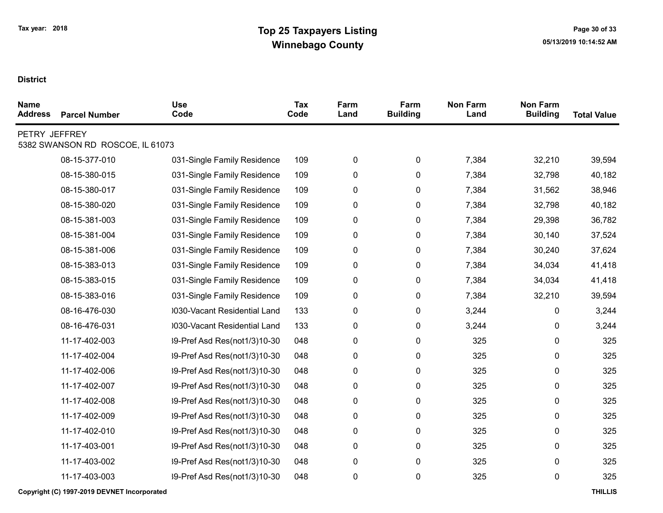| <b>Name</b><br><b>Address</b> | <b>Parcel Number</b>             | <b>Use</b><br>Code           | Tax<br>Code | Farm<br>Land | Farm<br><b>Building</b> | <b>Non Farm</b><br>Land | <b>Non Farm</b><br><b>Building</b> | <b>Total Value</b> |
|-------------------------------|----------------------------------|------------------------------|-------------|--------------|-------------------------|-------------------------|------------------------------------|--------------------|
| PETRY JEFFREY                 | 5382 SWANSON RD ROSCOE, IL 61073 |                              |             |              |                         |                         |                                    |                    |
|                               | 08-15-377-010                    | 031-Single Family Residence  | 109         | 0            | 0                       | 7,384                   | 32,210                             | 39,594             |
|                               | 08-15-380-015                    | 031-Single Family Residence  | 109         | 0            | 0                       | 7,384                   | 32,798                             | 40,182             |
|                               | 08-15-380-017                    | 031-Single Family Residence  | 109         | 0            | 0                       | 7,384                   | 31,562                             | 38,946             |
|                               | 08-15-380-020                    | 031-Single Family Residence  | 109         | 0            | 0                       | 7,384                   | 32,798                             | 40,182             |
|                               | 08-15-381-003                    | 031-Single Family Residence  | 109         | 0            | 0                       | 7,384                   | 29,398                             | 36,782             |
|                               | 08-15-381-004                    | 031-Single Family Residence  | 109         | 0            | 0                       | 7,384                   | 30,140                             | 37,524             |
|                               | 08-15-381-006                    | 031-Single Family Residence  | 109         | 0            | 0                       | 7,384                   | 30,240                             | 37,624             |
|                               | 08-15-383-013                    | 031-Single Family Residence  | 109         | 0            | 0                       | 7,384                   | 34,034                             | 41,418             |
|                               | 08-15-383-015                    | 031-Single Family Residence  | 109         | 0            | 0                       | 7,384                   | 34,034                             | 41,418             |
|                               | 08-15-383-016                    | 031-Single Family Residence  | 109         | 0            | 0                       | 7,384                   | 32,210                             | 39,594             |
|                               | 08-16-476-030                    | 0030-Vacant Residential Land | 133         | 0            | 0                       | 3,244                   | 0                                  | 3,244              |
|                               | 08-16-476-031                    | 0030-Vacant Residential Land | 133         | 0            | 0                       | 3,244                   | 0                                  | 3,244              |
|                               | 11-17-402-003                    | 39-Pref Asd Res(not1/3)10-30 | 048         | 0            | 0                       | 325                     | 0                                  | 325                |
|                               | 11-17-402-004                    | 39-Pref Asd Res(not1/3)10-30 | 048         | 0            | 0                       | 325                     | 0                                  | 325                |
|                               | 11-17-402-006                    | 39-Pref Asd Res(not1/3)10-30 | 048         | 0            | 0                       | 325                     | 0                                  | 325                |
|                               | 11-17-402-007                    | 39-Pref Asd Res(not1/3)10-30 | 048         | 0            | 0                       | 325                     | 0                                  | 325                |
|                               | 11-17-402-008                    | 39-Pref Asd Res(not1/3)10-30 | 048         | 0            | 0                       | 325                     | 0                                  | 325                |
|                               | 11-17-402-009                    | 39-Pref Asd Res(not1/3)10-30 | 048         | 0            | 0                       | 325                     | 0                                  | 325                |
|                               | 11-17-402-010                    | 39-Pref Asd Res(not1/3)10-30 | 048         | 0            | 0                       | 325                     | 0                                  | 325                |
|                               | 11-17-403-001                    | 39-Pref Asd Res(not1/3)10-30 | 048         | 0            | 0                       | 325                     | 0                                  | 325                |
|                               | 11-17-403-002                    | 39-Pref Asd Res(not1/3)10-30 | 048         | 0            | 0                       | 325                     | 0                                  | 325                |
|                               | 11-17-403-003                    | 39-Pref Asd Res(not1/3)10-30 | 048         | 0            | 0                       | 325                     | 0                                  | 325                |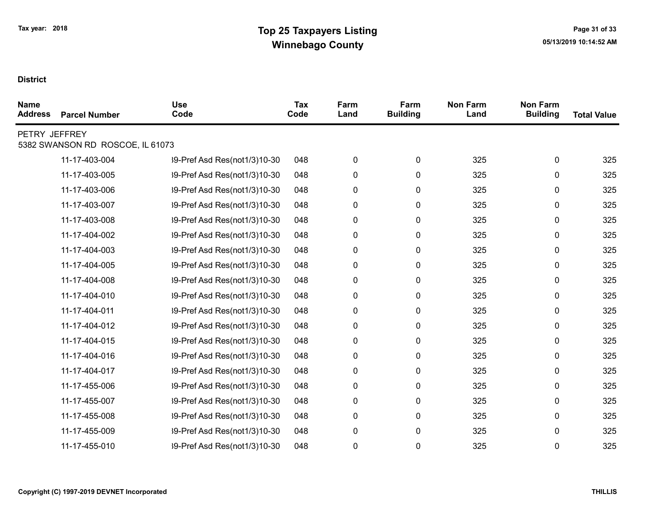| <b>Name</b><br><b>Address</b> | <b>Parcel Number</b>             | <b>Use</b><br>Code           | Tax<br>Code | Farm<br>Land | Farm<br><b>Building</b> | <b>Non Farm</b><br>Land | <b>Non Farm</b><br><b>Building</b> | <b>Total Value</b> |
|-------------------------------|----------------------------------|------------------------------|-------------|--------------|-------------------------|-------------------------|------------------------------------|--------------------|
| PETRY JEFFREY                 | 5382 SWANSON RD ROSCOE, IL 61073 |                              |             |              |                         |                         |                                    |                    |
|                               |                                  |                              |             |              |                         |                         |                                    |                    |
|                               | 11-17-403-004                    | 39-Pref Asd Res(not1/3)10-30 | 048         | 0            | 0                       | 325                     | 0                                  | 325                |
|                               | 11-17-403-005                    | 39-Pref Asd Res(not1/3)10-30 | 048         | 0            | 0                       | 325                     | 0                                  | 325                |
|                               | 11-17-403-006                    | 39-Pref Asd Res(not1/3)10-30 | 048         | 0            | 0                       | 325                     | 0                                  | 325                |
|                               | 11-17-403-007                    | 39-Pref Asd Res(not1/3)10-30 | 048         | 0            | 0                       | 325                     | 0                                  | 325                |
|                               | 11-17-403-008                    | 39-Pref Asd Res(not1/3)10-30 | 048         | 0            | 0                       | 325                     | 0                                  | 325                |
|                               | 11-17-404-002                    | 39-Pref Asd Res(not1/3)10-30 | 048         | 0            | 0                       | 325                     | 0                                  | 325                |
|                               | 11-17-404-003                    | 39-Pref Asd Res(not1/3)10-30 | 048         | 0            | 0                       | 325                     | 0                                  | 325                |
|                               | 11-17-404-005                    | 39-Pref Asd Res(not1/3)10-30 | 048         | 0            | 0                       | 325                     | 0                                  | 325                |
|                               | 11-17-404-008                    | 39-Pref Asd Res(not1/3)10-30 | 048         | 0            | 0                       | 325                     | 0                                  | 325                |
|                               | 11-17-404-010                    | 39-Pref Asd Res(not1/3)10-30 | 048         | 0            | 0                       | 325                     | 0                                  | 325                |
|                               | 11-17-404-011                    | 39-Pref Asd Res(not1/3)10-30 | 048         | 0            | 0                       | 325                     | 0                                  | 325                |
|                               | 11-17-404-012                    | 39-Pref Asd Res(not1/3)10-30 | 048         | 0            | 0                       | 325                     | 0                                  | 325                |
|                               | 11-17-404-015                    | 39-Pref Asd Res(not1/3)10-30 | 048         | 0            | 0                       | 325                     | 0                                  | 325                |
|                               | 11-17-404-016                    | 39-Pref Asd Res(not1/3)10-30 | 048         | 0            | 0                       | 325                     | 0                                  | 325                |
|                               | 11-17-404-017                    | 39-Pref Asd Res(not1/3)10-30 | 048         | 0            | 0                       | 325                     | 0                                  | 325                |
|                               | 11-17-455-006                    | 39-Pref Asd Res(not1/3)10-30 | 048         | 0            | 0                       | 325                     | 0                                  | 325                |
|                               | 11-17-455-007                    | 39-Pref Asd Res(not1/3)10-30 | 048         | 0            | 0                       | 325                     | 0                                  | 325                |
|                               | 11-17-455-008                    | 39-Pref Asd Res(not1/3)10-30 | 048         | 0            | 0                       | 325                     | 0                                  | 325                |
|                               | 11-17-455-009                    | 39-Pref Asd Res(not1/3)10-30 | 048         | 0            | 0                       | 325                     | 0                                  | 325                |
|                               | 11-17-455-010                    | 39-Pref Asd Res(not1/3)10-30 | 048         | 0            | 0                       | 325                     | 0                                  | 325                |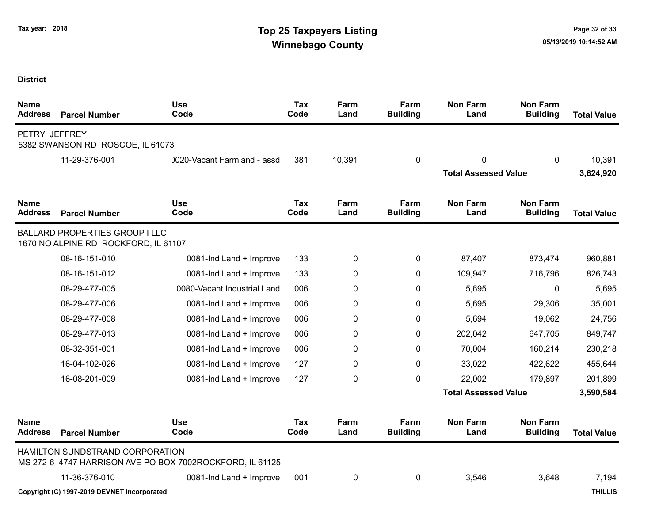## Tax year: 2018 **Tax 1988 Tax Decision Contract Contract Contract Contract Contract Contract Contract Contract Contract Contract Contract Contract Contract Contract Contract Contract Contract Contract Contract Contract Cont** Winnebago County and the County of the County of the County of the County of the County of the County of the County of the County of the County of the County of the County of the County of the County of the County of the C

| <b>Name</b><br><b>Address</b> | <b>Parcel Number</b>                                                          | <b>Use</b><br>Code                                       | Tax<br>Code | Farm<br>Land | Farm<br><b>Building</b> | <b>Non Farm</b><br>Land     | <b>Non Farm</b><br><b>Building</b> | <b>Total Value</b> |
|-------------------------------|-------------------------------------------------------------------------------|----------------------------------------------------------|-------------|--------------|-------------------------|-----------------------------|------------------------------------|--------------------|
| PETRY JEFFREY                 | 5382 SWANSON RD ROSCOE, IL 61073                                              |                                                          |             |              |                         |                             |                                    |                    |
|                               | 11-29-376-001                                                                 | 0020-Vacant Farmland - assd                              | 381         | 10,391       | 0                       | 0                           | $\mathbf{0}$                       | 10,391             |
|                               |                                                                               |                                                          |             |              |                         | <b>Total Assessed Value</b> |                                    | 3,624,920          |
| <b>Name</b><br><b>Address</b> | <b>Parcel Number</b>                                                          | <b>Use</b><br>Code                                       | Tax<br>Code | Farm<br>Land | Farm<br><b>Building</b> | <b>Non Farm</b><br>Land     | <b>Non Farm</b><br><b>Building</b> | <b>Total Value</b> |
|                               | <b>BALLARD PROPERTIES GROUP I LLC</b><br>1670 NO ALPINE RD ROCKFORD, IL 61107 |                                                          |             |              |                         |                             |                                    |                    |
|                               | 08-16-151-010                                                                 | 0081-Ind Land + Improve                                  | 133         | 0            | 0                       | 87,407                      | 873,474                            | 960,881            |
|                               | 08-16-151-012                                                                 | 0081-Ind Land + Improve                                  | 133         | 0            | 0                       | 109,947                     | 716,796                            | 826,743            |
|                               | 08-29-477-005                                                                 | 0080-Vacant Industrial Land                              | 006         | 0            | 0                       | 5,695                       | 0                                  | 5,695              |
|                               | 08-29-477-006                                                                 | 0081-Ind Land + Improve                                  | 006         | 0            | 0                       | 5,695                       | 29,306                             | 35,001             |
|                               | 08-29-477-008                                                                 | 0081-Ind Land + Improve                                  | 006         | 0            | $\Omega$                | 5,694                       | 19,062                             | 24,756             |
|                               | 08-29-477-013                                                                 | 0081-Ind Land + Improve                                  | 006         | 0            | $\Omega$                | 202,042                     | 647,705                            | 849,747            |
|                               | 08-32-351-001                                                                 | 0081-Ind Land + Improve                                  | 006         | 0            | $\Omega$                | 70,004                      | 160,214                            | 230,218            |
|                               | 16-04-102-026                                                                 | 0081-Ind Land + Improve                                  | 127         | 0            | 0                       | 33,022                      | 422,622                            | 455,644            |
|                               | 16-08-201-009                                                                 | 0081-Ind Land + Improve                                  | 127         | 0            | 0                       | 22,002                      | 179,897                            | 201,899            |
|                               |                                                                               |                                                          |             |              |                         | <b>Total Assessed Value</b> |                                    | 3,590,584          |
| <b>Name</b><br><b>Address</b> | <b>Parcel Number</b>                                                          | <b>Use</b><br>Code                                       | Tax<br>Code | Farm<br>Land | Farm<br><b>Building</b> | <b>Non Farm</b><br>Land     | <b>Non Farm</b><br><b>Building</b> | <b>Total Value</b> |
|                               | HAMILTON SUNDSTRAND CORPORATION                                               | MS 272-6 4747 HARRISON AVE PO BOX 7002ROCKFORD, IL 61125 |             |              |                         |                             |                                    |                    |
|                               | 11-36-376-010                                                                 | 0081-Ind Land + Improve                                  | 001         | 0            | 0                       | 3,546                       | 3,648                              | 7,194              |
|                               | Copyright (C) 1997-2019 DEVNET Incorporated                                   |                                                          |             |              |                         |                             |                                    | <b>THILLIS</b>     |